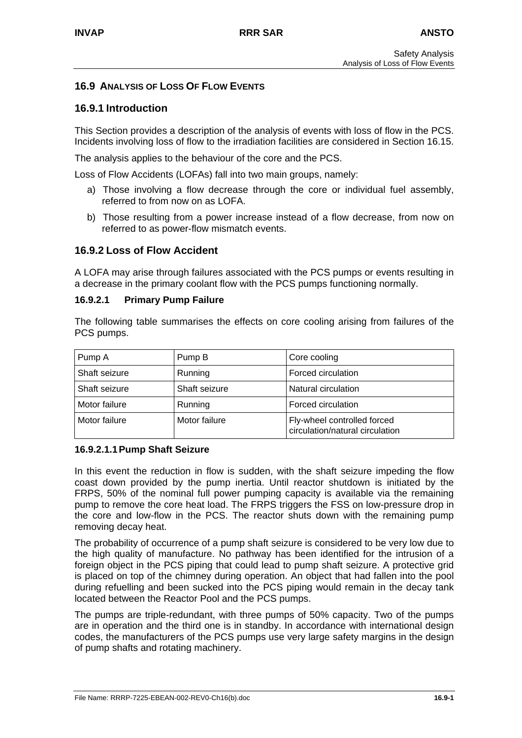## **16.9 ANALYSIS OF LOSS OF FLOW EVENTS**

## **16.9.1 Introduction**

This Section provides a description of the analysis of events with loss of flow in the PCS. Incidents involving loss of flow to the irradiation facilities are considered in Section 16.15.

The analysis applies to the behaviour of the core and the PCS.

Loss of Flow Accidents (LOFAs) fall into two main groups, namely:

- a) Those involving a flow decrease through the core or individual fuel assembly, referred to from now on as LOFA.
- b) Those resulting from a power increase instead of a flow decrease, from now on referred to as power-flow mismatch events.

### **16.9.2 Loss of Flow Accident**

A LOFA may arise through failures associated with the PCS pumps or events resulting in a decrease in the primary coolant flow with the PCS pumps functioning normally.

#### **16.9.2.1 Primary Pump Failure**

The following table summarises the effects on core cooling arising from failures of the PCS pumps.

| Pump A        | Pump B        | Core cooling                                                   |  |
|---------------|---------------|----------------------------------------------------------------|--|
| Shaft seizure | Running       | Forced circulation                                             |  |
| Shaft seizure | Shaft seizure | Natural circulation                                            |  |
| Motor failure | Running       | Forced circulation                                             |  |
| Motor failure | Motor failure | Fly-wheel controlled forced<br>circulation/natural circulation |  |

#### **16.9.2.1.1 Pump Shaft Seizure**

In this event the reduction in flow is sudden, with the shaft seizure impeding the flow coast down provided by the pump inertia. Until reactor shutdown is initiated by the FRPS, 50% of the nominal full power pumping capacity is available via the remaining pump to remove the core heat load. The FRPS triggers the FSS on low-pressure drop in the core and low-flow in the PCS. The reactor shuts down with the remaining pump removing decay heat.

The probability of occurrence of a pump shaft seizure is considered to be very low due to the high quality of manufacture. No pathway has been identified for the intrusion of a foreign object in the PCS piping that could lead to pump shaft seizure. A protective grid is placed on top of the chimney during operation. An object that had fallen into the pool during refuelling and been sucked into the PCS piping would remain in the decay tank located between the Reactor Pool and the PCS pumps.

The pumps are triple-redundant, with three pumps of 50% capacity. Two of the pumps are in operation and the third one is in standby. In accordance with international design codes, the manufacturers of the PCS pumps use very large safety margins in the design of pump shafts and rotating machinery.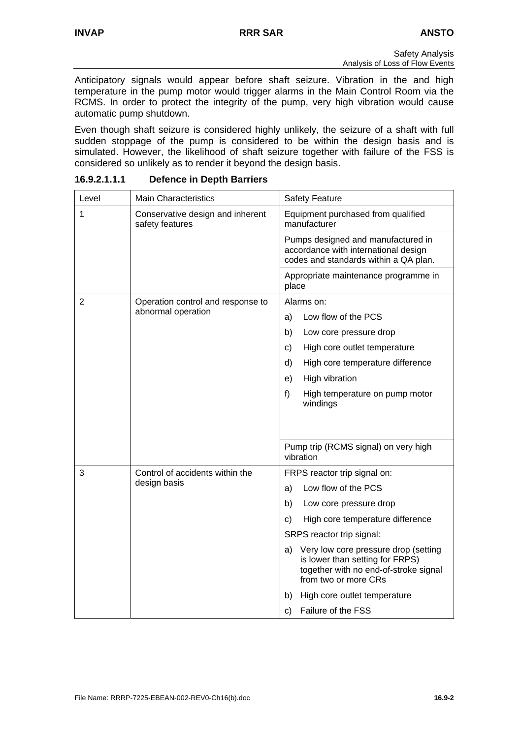Anticipatory signals would appear before shaft seizure. Vibration in the and high temperature in the pump motor would trigger alarms in the Main Control Room via the RCMS. In order to protect the integrity of the pump, very high vibration would cause automatic pump shutdown.

Even though shaft seizure is considered highly unlikely, the seizure of a shaft with full sudden stoppage of the pump is considered to be within the design basis and is simulated. However, the likelihood of shaft seizure together with failure of the FSS is considered so unlikely as to render it beyond the design basis.

| Level          | <b>Main Characteristics</b>                         | <b>Safety Feature</b>                                                                                                                          |  |  |
|----------------|-----------------------------------------------------|------------------------------------------------------------------------------------------------------------------------------------------------|--|--|
| 1              | Conservative design and inherent<br>safety features | Equipment purchased from qualified<br>manufacturer                                                                                             |  |  |
|                |                                                     | Pumps designed and manufactured in<br>accordance with international design<br>codes and standards within a QA plan.                            |  |  |
|                |                                                     | Appropriate maintenance programme in<br>place                                                                                                  |  |  |
| $\overline{2}$ | Operation control and response to                   | Alarms on:                                                                                                                                     |  |  |
|                | abnormal operation                                  | Low flow of the PCS<br>a)                                                                                                                      |  |  |
|                |                                                     | b)<br>Low core pressure drop                                                                                                                   |  |  |
|                |                                                     | High core outlet temperature<br>c)                                                                                                             |  |  |
|                |                                                     | d)<br>High core temperature difference                                                                                                         |  |  |
|                |                                                     | High vibration<br>e)                                                                                                                           |  |  |
|                |                                                     | f)<br>High temperature on pump motor<br>windings                                                                                               |  |  |
|                |                                                     |                                                                                                                                                |  |  |
|                |                                                     | Pump trip (RCMS signal) on very high<br>vibration                                                                                              |  |  |
| 3              | Control of accidents within the                     | FRPS reactor trip signal on:                                                                                                                   |  |  |
|                | design basis                                        | Low flow of the PCS<br>a)                                                                                                                      |  |  |
|                |                                                     | b)<br>Low core pressure drop                                                                                                                   |  |  |
|                |                                                     | c)<br>High core temperature difference                                                                                                         |  |  |
|                |                                                     | SRPS reactor trip signal:                                                                                                                      |  |  |
|                |                                                     | Very low core pressure drop (setting<br>a)<br>is lower than setting for FRPS)<br>together with no end-of-stroke signal<br>from two or more CRs |  |  |
|                |                                                     | b)<br>High core outlet temperature                                                                                                             |  |  |
|                |                                                     | Failure of the FSS<br>C)                                                                                                                       |  |  |

**16.9.2.1.1.1 Defence in Depth Barriers**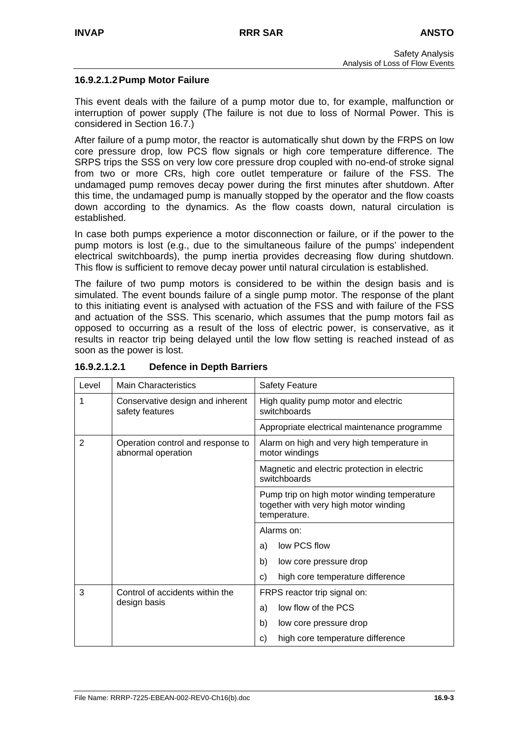### **16.9.2.1.2 Pump Motor Failure**

This event deals with the failure of a pump motor due to, for example, malfunction or interruption of power supply (The failure is not due to loss of Normal Power. This is considered in Section 16.7.)

After failure of a pump motor, the reactor is automatically shut down by the FRPS on low core pressure drop, low PCS flow signals or high core temperature difference. The SRPS trips the SSS on very low core pressure drop coupled with no-end-of stroke signal from two or more CRs, high core outlet temperature or failure of the FSS. The undamaged pump removes decay power during the first minutes after shutdown. After this time, the undamaged pump is manually stopped by the operator and the flow coasts down according to the dynamics. As the flow coasts down, natural circulation is established.

In case both pumps experience a motor disconnection or failure, or if the power to the pump motors is lost (e.g., due to the simultaneous failure of the pumps' independent electrical switchboards), the pump inertia provides decreasing flow during shutdown. This flow is sufficient to remove decay power until natural circulation is established.

The failure of two pump motors is considered to be within the design basis and is simulated. The event bounds failure of a single pump motor. The response of the plant to this initiating event is analysed with actuation of the FSS and with failure of the FSS and actuation of the SSS. This scenario, which assumes that the pump motors fail as opposed to occurring as a result of the loss of electric power, is conservative, as it results in reactor trip being delayed until the low flow setting is reached instead of as soon as the power is lost.

| Level          | <b>Main Characteristics</b>                             | <b>Safety Feature</b>                                                                                |  |  |
|----------------|---------------------------------------------------------|------------------------------------------------------------------------------------------------------|--|--|
| 1              | Conservative design and inherent<br>safety features     | High quality pump motor and electric<br>switchboards                                                 |  |  |
|                |                                                         | Appropriate electrical maintenance programme                                                         |  |  |
| $\overline{2}$ | Operation control and response to<br>abnormal operation | Alarm on high and very high temperature in<br>motor windings                                         |  |  |
|                |                                                         | Magnetic and electric protection in electric<br>switchboards                                         |  |  |
|                |                                                         | Pump trip on high motor winding temperature<br>together with very high motor winding<br>temperature. |  |  |
|                |                                                         | Alarms on:                                                                                           |  |  |
|                |                                                         | low PCS flow<br>a)                                                                                   |  |  |
|                |                                                         | b)<br>low core pressure drop                                                                         |  |  |
|                |                                                         | high core temperature difference<br>C)                                                               |  |  |
| 3              | Control of accidents within the                         | FRPS reactor trip signal on:                                                                         |  |  |
|                | design basis                                            | low flow of the PCS<br>a)                                                                            |  |  |
|                |                                                         | b)<br>low core pressure drop                                                                         |  |  |
|                |                                                         | high core temperature difference<br>C)                                                               |  |  |

### **16.9.2.1.2.1 Defence in Depth Barriers**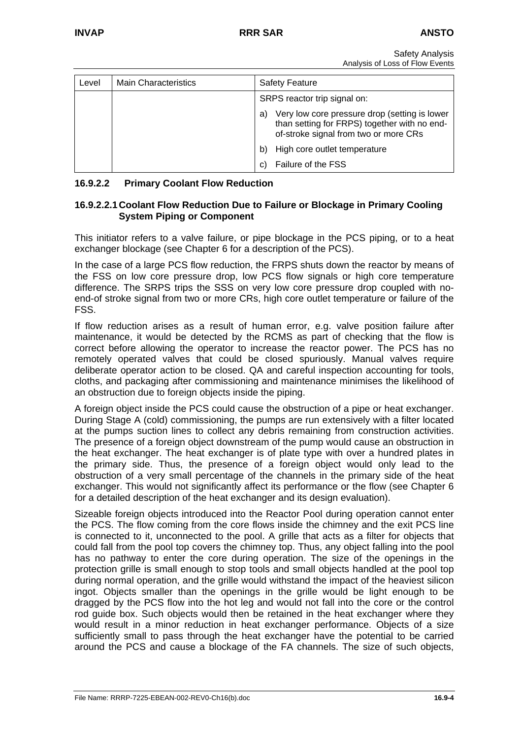| Level | <b>Main Characteristics</b> | <b>Safety Feature</b>                                                                                                                        |  |  |
|-------|-----------------------------|----------------------------------------------------------------------------------------------------------------------------------------------|--|--|
|       |                             | SRPS reactor trip signal on:                                                                                                                 |  |  |
|       |                             | Very low core pressure drop (setting is lower<br>a)<br>than setting for FRPS) together with no end-<br>of-stroke signal from two or more CRs |  |  |
|       |                             | High core outlet temperature<br>b)                                                                                                           |  |  |
|       |                             | Failure of the FSS                                                                                                                           |  |  |

## **16.9.2.2 Primary Coolant Flow Reduction**

## **16.9.2.2.1 Coolant Flow Reduction Due to Failure or Blockage in Primary Cooling System Piping or Component**

This initiator refers to a valve failure, or pipe blockage in the PCS piping, or to a heat exchanger blockage (see Chapter 6 for a description of the PCS).

In the case of a large PCS flow reduction, the FRPS shuts down the reactor by means of the FSS on low core pressure drop, low PCS flow signals or high core temperature difference. The SRPS trips the SSS on very low core pressure drop coupled with noend-of stroke signal from two or more CRs, high core outlet temperature or failure of the FSS.

If flow reduction arises as a result of human error, e.g. valve position failure after maintenance, it would be detected by the RCMS as part of checking that the flow is correct before allowing the operator to increase the reactor power. The PCS has no remotely operated valves that could be closed spuriously. Manual valves require deliberate operator action to be closed. QA and careful inspection accounting for tools, cloths, and packaging after commissioning and maintenance minimises the likelihood of an obstruction due to foreign objects inside the piping.

A foreign object inside the PCS could cause the obstruction of a pipe or heat exchanger. During Stage A (cold) commissioning, the pumps are run extensively with a filter located at the pumps suction lines to collect any debris remaining from construction activities. The presence of a foreign object downstream of the pump would cause an obstruction in the heat exchanger. The heat exchanger is of plate type with over a hundred plates in the primary side. Thus, the presence of a foreign object would only lead to the obstruction of a very small percentage of the channels in the primary side of the heat exchanger. This would not significantly affect its performance or the flow (see Chapter 6 for a detailed description of the heat exchanger and its design evaluation).

Sizeable foreign objects introduced into the Reactor Pool during operation cannot enter the PCS. The flow coming from the core flows inside the chimney and the exit PCS line is connected to it, unconnected to the pool. A grille that acts as a filter for objects that could fall from the pool top covers the chimney top. Thus, any object falling into the pool has no pathway to enter the core during operation. The size of the openings in the protection grille is small enough to stop tools and small objects handled at the pool top during normal operation, and the grille would withstand the impact of the heaviest silicon ingot. Objects smaller than the openings in the grille would be light enough to be dragged by the PCS flow into the hot leg and would not fall into the core or the control rod guide box. Such objects would then be retained in the heat exchanger where they would result in a minor reduction in heat exchanger performance. Objects of a size sufficiently small to pass through the heat exchanger have the potential to be carried around the PCS and cause a blockage of the FA channels. The size of such objects,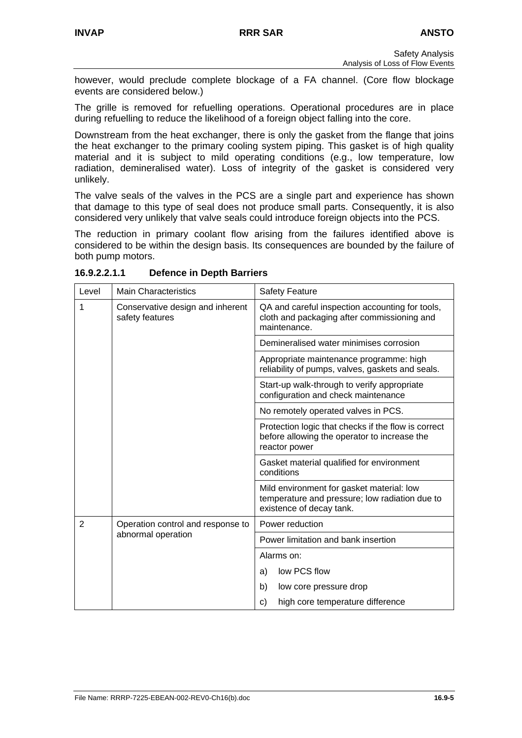however, would preclude complete blockage of a FA channel. (Core flow blockage events are considered below.)

The grille is removed for refuelling operations. Operational procedures are in place during refuelling to reduce the likelihood of a foreign object falling into the core.

Downstream from the heat exchanger, there is only the gasket from the flange that joins the heat exchanger to the primary cooling system piping. This gasket is of high quality material and it is subject to mild operating conditions (e.g., low temperature, low radiation, demineralised water). Loss of integrity of the gasket is considered very unlikely.

The valve seals of the valves in the PCS are a single part and experience has shown that damage to this type of seal does not produce small parts. Consequently, it is also considered very unlikely that valve seals could introduce foreign objects into the PCS.

The reduction in primary coolant flow arising from the failures identified above is considered to be within the design basis. Its consequences are bounded by the failure of both pump motors.

| Level          | <b>Main Characteristics</b>                         | <b>Safety Feature</b>                                                                                                   |  |  |
|----------------|-----------------------------------------------------|-------------------------------------------------------------------------------------------------------------------------|--|--|
| 1              | Conservative design and inherent<br>safety features | QA and careful inspection accounting for tools,<br>cloth and packaging after commissioning and<br>maintenance.          |  |  |
|                |                                                     | Demineralised water minimises corrosion                                                                                 |  |  |
|                |                                                     | Appropriate maintenance programme: high<br>reliability of pumps, valves, gaskets and seals.                             |  |  |
|                |                                                     | Start-up walk-through to verify appropriate<br>configuration and check maintenance                                      |  |  |
|                |                                                     | No remotely operated valves in PCS.                                                                                     |  |  |
|                |                                                     | Protection logic that checks if the flow is correct<br>before allowing the operator to increase the<br>reactor power    |  |  |
|                |                                                     | Gasket material qualified for environment<br>conditions                                                                 |  |  |
|                |                                                     | Mild environment for gasket material: low<br>temperature and pressure; low radiation due to<br>existence of decay tank. |  |  |
| $\overline{2}$ | Operation control and response to                   | Power reduction                                                                                                         |  |  |
|                | abnormal operation                                  | Power limitation and bank insertion                                                                                     |  |  |
|                |                                                     | Alarms on:                                                                                                              |  |  |
|                |                                                     | low PCS flow<br>a)                                                                                                      |  |  |
|                |                                                     | b)<br>low core pressure drop                                                                                            |  |  |
|                |                                                     | high core temperature difference<br>C)                                                                                  |  |  |

**16.9.2.2.1.1 Defence in Depth Barriers**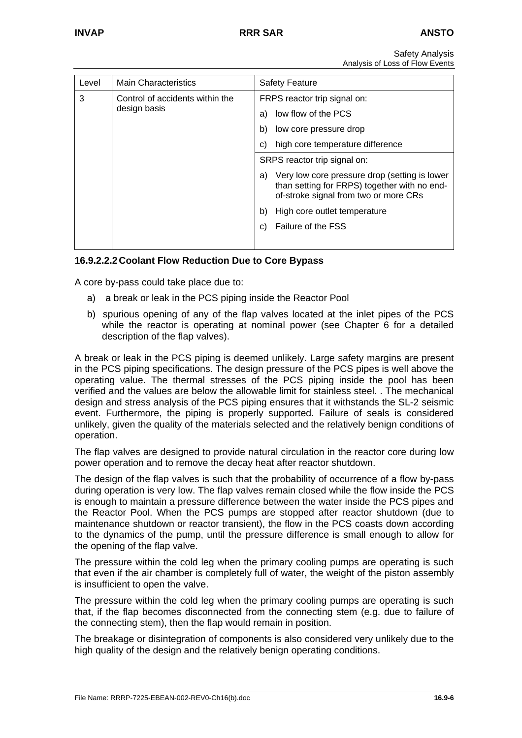| Level                                                | <b>Main Characteristics</b>                                                                                                                  | <b>Safety Feature</b>              |
|------------------------------------------------------|----------------------------------------------------------------------------------------------------------------------------------------------|------------------------------------|
| 3<br>Control of accidents within the<br>design basis |                                                                                                                                              | FRPS reactor trip signal on:       |
|                                                      |                                                                                                                                              | low flow of the PCS<br>a)          |
|                                                      | low core pressure drop<br>b)                                                                                                                 |                                    |
|                                                      | high core temperature difference<br>C)                                                                                                       |                                    |
|                                                      |                                                                                                                                              | SRPS reactor trip signal on:       |
|                                                      | Very low core pressure drop (setting is lower<br>a)<br>than setting for FRPS) together with no end-<br>of-stroke signal from two or more CRs |                                    |
|                                                      |                                                                                                                                              | High core outlet temperature<br>b) |
|                                                      |                                                                                                                                              | Failure of the FSS<br>C)           |
|                                                      |                                                                                                                                              |                                    |

## **16.9.2.2.2 Coolant Flow Reduction Due to Core Bypass**

A core by-pass could take place due to:

- a) a break or leak in the PCS piping inside the Reactor Pool
- b) spurious opening of any of the flap valves located at the inlet pipes of the PCS while the reactor is operating at nominal power (see Chapter 6 for a detailed description of the flap valves).

A break or leak in the PCS piping is deemed unlikely. Large safety margins are present in the PCS piping specifications. The design pressure of the PCS pipes is well above the operating value. The thermal stresses of the PCS piping inside the pool has been verified and the values are below the allowable limit for stainless steel. . The mechanical design and stress analysis of the PCS piping ensures that it withstands the SL-2 seismic event. Furthermore, the piping is properly supported. Failure of seals is considered unlikely, given the quality of the materials selected and the relatively benign conditions of operation.

The flap valves are designed to provide natural circulation in the reactor core during low power operation and to remove the decay heat after reactor shutdown.

The design of the flap valves is such that the probability of occurrence of a flow by-pass during operation is very low. The flap valves remain closed while the flow inside the PCS is enough to maintain a pressure difference between the water inside the PCS pipes and the Reactor Pool. When the PCS pumps are stopped after reactor shutdown (due to maintenance shutdown or reactor transient), the flow in the PCS coasts down according to the dynamics of the pump, until the pressure difference is small enough to allow for the opening of the flap valve.

The pressure within the cold leg when the primary cooling pumps are operating is such that even if the air chamber is completely full of water, the weight of the piston assembly is insufficient to open the valve.

The pressure within the cold leg when the primary cooling pumps are operating is such that, if the flap becomes disconnected from the connecting stem (e.g. due to failure of the connecting stem), then the flap would remain in position.

The breakage or disintegration of components is also considered very unlikely due to the high quality of the design and the relatively benign operating conditions.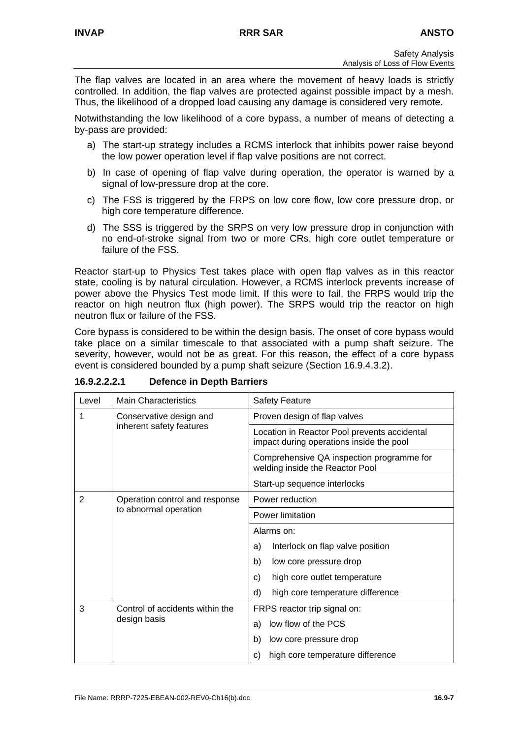The flap valves are located in an area where the movement of heavy loads is strictly controlled. In addition, the flap valves are protected against possible impact by a mesh. Thus, the likelihood of a dropped load causing any damage is considered very remote.

Notwithstanding the low likelihood of a core bypass, a number of means of detecting a by-pass are provided:

- a) The start-up strategy includes a RCMS interlock that inhibits power raise beyond the low power operation level if flap valve positions are not correct.
- b) In case of opening of flap valve during operation, the operator is warned by a signal of low-pressure drop at the core.
- c) The FSS is triggered by the FRPS on low core flow, low core pressure drop, or high core temperature difference.
- d) The SSS is triggered by the SRPS on very low pressure drop in conjunction with no end-of-stroke signal from two or more CRs, high core outlet temperature or failure of the FSS.

Reactor start-up to Physics Test takes place with open flap valves as in this reactor state, cooling is by natural circulation. However, a RCMS interlock prevents increase of power above the Physics Test mode limit. If this were to fail, the FRPS would trip the reactor on high neutron flux (high power). The SRPS would trip the reactor on high neutron flux or failure of the FSS.

Core bypass is considered to be within the design basis. The onset of core bypass would take place on a similar timescale to that associated with a pump shaft seizure. The severity, however, would not be as great. For this reason, the effect of a core bypass event is considered bounded by a pump shaft seizure (Section 16.9.4.3.2).

| Level          | <b>Main Characteristics</b>     | <b>Safety Feature</b>                                                                    |  |  |
|----------------|---------------------------------|------------------------------------------------------------------------------------------|--|--|
| 1              | Conservative design and         | Proven design of flap valves                                                             |  |  |
|                | inherent safety features        | Location in Reactor Pool prevents accidental<br>impact during operations inside the pool |  |  |
|                |                                 | Comprehensive QA inspection programme for<br>welding inside the Reactor Pool             |  |  |
|                |                                 | Start-up sequence interlocks                                                             |  |  |
| $\overline{2}$ | Operation control and response  | Power reduction                                                                          |  |  |
|                | to abnormal operation           | Power limitation                                                                         |  |  |
|                |                                 | Alarms on:                                                                               |  |  |
|                |                                 | Interlock on flap valve position<br>a)                                                   |  |  |
|                |                                 | b)<br>low core pressure drop                                                             |  |  |
|                |                                 | high core outlet temperature<br>c)                                                       |  |  |
|                |                                 | d)<br>high core temperature difference                                                   |  |  |
| 3              | Control of accidents within the | FRPS reactor trip signal on:                                                             |  |  |
|                | design basis                    | low flow of the PCS<br>a)                                                                |  |  |
|                |                                 | b)<br>low core pressure drop                                                             |  |  |
|                |                                 | high core temperature difference<br>C)                                                   |  |  |

**16.9.2.2.2.1 Defence in Depth Barriers**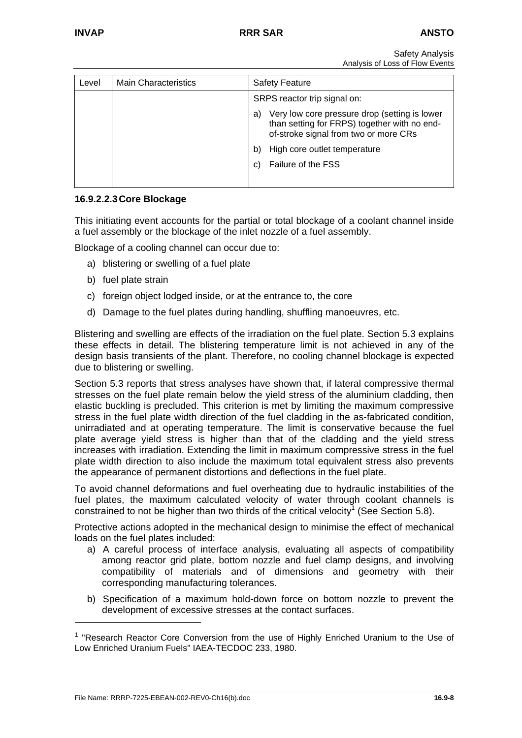| Level | <b>Main Characteristics</b> | <b>Safety Feature</b>                                                                                                                        |  |  |
|-------|-----------------------------|----------------------------------------------------------------------------------------------------------------------------------------------|--|--|
|       |                             | SRPS reactor trip signal on:                                                                                                                 |  |  |
|       |                             | Very low core pressure drop (setting is lower<br>a)<br>than setting for FRPS) together with no end-<br>of-stroke signal from two or more CRs |  |  |
|       |                             | High core outlet temperature<br>b)                                                                                                           |  |  |
|       |                             | Failure of the FSS<br>C)                                                                                                                     |  |  |
|       |                             |                                                                                                                                              |  |  |

### **16.9.2.2.3 Core Blockage**

This initiating event accounts for the partial or total blockage of a coolant channel inside a fuel assembly or the blockage of the inlet nozzle of a fuel assembly.

Blockage of a cooling channel can occur due to:

- a) blistering or swelling of a fuel plate
- b) fuel plate strain
- c) foreign object lodged inside, or at the entrance to, the core
- d) Damage to the fuel plates during handling, shuffling manoeuvres, etc.

Blistering and swelling are effects of the irradiation on the fuel plate. Section 5.3 explains these effects in detail. The blistering temperature limit is not achieved in any of the design basis transients of the plant. Therefore, no cooling channel blockage is expected due to blistering or swelling.

Section 5.3 reports that stress analyses have shown that, if lateral compressive thermal stresses on the fuel plate remain below the yield stress of the aluminium cladding, then elastic buckling is precluded. This criterion is met by limiting the maximum compressive stress in the fuel plate width direction of the fuel cladding in the as-fabricated condition, unirradiated and at operating temperature. The limit is conservative because the fuel plate average yield stress is higher than that of the cladding and the yield stress increases with irradiation. Extending the limit in maximum compressive stress in the fuel plate width direction to also include the maximum total equivalent stress also prevents the appearance of permanent distortions and deflections in the fuel plate.

To avoid channel deformations and fuel overheating due to hydraulic instabilities of the fuel plates, the maximum calculated velocity of water through coolant channels is constrainedto not be higher than two thirds of the critical velocity<sup>1</sup> (See Section 5.8).

Protective actions adopted in the mechanical design to minimise the effect of mechanical loads on the fuel plates included:

- a) A careful process of interface analysis, evaluating all aspects of compatibility among reactor grid plate, bottom nozzle and fuel clamp designs, and involving compatibility of materials and of dimensions and geometry with their corresponding manufacturing tolerances.
- b) Specification of a maximum hold-down force on bottom nozzle to prevent the development of excessive stresses at the contact surfaces.

<span id="page-7-0"></span><sup>&</sup>lt;sup>1</sup> "Research Reactor Core Conversion from the use of Highly Enriched Uranium to the Use of Low Enriched Uranium Fuels" IAEA-TECDOC 233, 1980.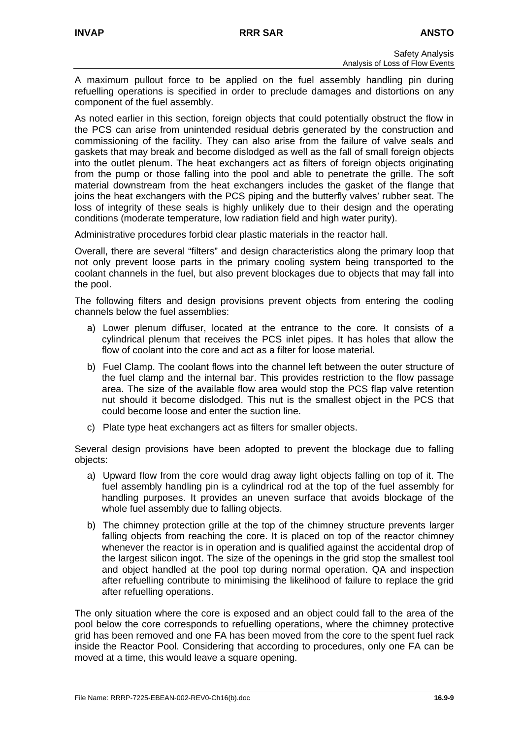A maximum pullout force to be applied on the fuel assembly handling pin during refuelling operations is specified in order to preclude damages and distortions on any component of the fuel assembly.

As noted earlier in this section, foreign objects that could potentially obstruct the flow in the PCS can arise from unintended residual debris generated by the construction and commissioning of the facility. They can also arise from the failure of valve seals and gaskets that may break and become dislodged as well as the fall of small foreign objects into the outlet plenum. The heat exchangers act as filters of foreign objects originating from the pump or those falling into the pool and able to penetrate the grille. The soft material downstream from the heat exchangers includes the gasket of the flange that joins the heat exchangers with the PCS piping and the butterfly valves' rubber seat. The loss of integrity of these seals is highly unlikely due to their design and the operating conditions (moderate temperature, low radiation field and high water purity).

Administrative procedures forbid clear plastic materials in the reactor hall.

Overall, there are several "filters" and design characteristics along the primary loop that not only prevent loose parts in the primary cooling system being transported to the coolant channels in the fuel, but also prevent blockages due to objects that may fall into the pool.

The following filters and design provisions prevent objects from entering the cooling channels below the fuel assemblies:

- a) Lower plenum diffuser, located at the entrance to the core. It consists of a cylindrical plenum that receives the PCS inlet pipes. It has holes that allow the flow of coolant into the core and act as a filter for loose material.
- b) Fuel Clamp. The coolant flows into the channel left between the outer structure of the fuel clamp and the internal bar. This provides restriction to the flow passage area. The size of the available flow area would stop the PCS flap valve retention nut should it become dislodged. This nut is the smallest object in the PCS that could become loose and enter the suction line.
- c) Plate type heat exchangers act as filters for smaller objects.

Several design provisions have been adopted to prevent the blockage due to falling objects:

- a) Upward flow from the core would drag away light objects falling on top of it. The fuel assembly handling pin is a cylindrical rod at the top of the fuel assembly for handling purposes. It provides an uneven surface that avoids blockage of the whole fuel assembly due to falling objects.
- b) The chimney protection grille at the top of the chimney structure prevents larger falling objects from reaching the core. It is placed on top of the reactor chimney whenever the reactor is in operation and is qualified against the accidental drop of the largest silicon ingot. The size of the openings in the grid stop the smallest tool and object handled at the pool top during normal operation. QA and inspection after refuelling contribute to minimising the likelihood of failure to replace the grid after refuelling operations.

The only situation where the core is exposed and an object could fall to the area of the pool below the core corresponds to refuelling operations, where the chimney protective grid has been removed and one FA has been moved from the core to the spent fuel rack inside the Reactor Pool. Considering that according to procedures, only one FA can be moved at a time, this would leave a square opening.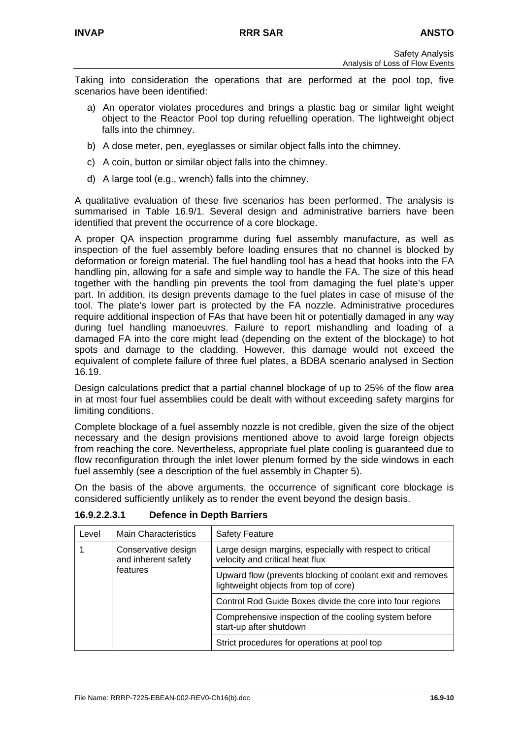Taking into consideration the operations that are performed at the pool top, five scenarios have been identified:

- a) An operator violates procedures and brings a plastic bag or similar light weight object to the Reactor Pool top during refuelling operation. The lightweight object falls into the chimney.
- b) A dose meter, pen, eyeglasses or similar object falls into the chimney.
- c) A coin, button or similar object falls into the chimney.
- d) A large tool (e.g., wrench) falls into the chimney.

A qualitative evaluation of these five scenarios has been performed. The analysis is summarised in Table 16.9/1. Several design and administrative barriers have been identified that prevent the occurrence of a core blockage.

A proper QA inspection programme during fuel assembly manufacture, as well as inspection of the fuel assembly before loading ensures that no channel is blocked by deformation or foreign material. The fuel handling tool has a head that hooks into the FA handling pin, allowing for a safe and simple way to handle the FA. The size of this head together with the handling pin prevents the tool from damaging the fuel plate's upper part. In addition, its design prevents damage to the fuel plates in case of misuse of the tool. The plate's lower part is protected by the FA nozzle. Administrative procedures require additional inspection of FAs that have been hit or potentially damaged in any way during fuel handling manoeuvres. Failure to report mishandling and loading of a damaged FA into the core might lead (depending on the extent of the blockage) to hot spots and damage to the cladding. However, this damage would not exceed the equivalent of complete failure of three fuel plates, a BDBA scenario analysed in Section 16.19.

Design calculations predict that a partial channel blockage of up to 25% of the flow area in at most four fuel assemblies could be dealt with without exceeding safety margins for limiting conditions.

Complete blockage of a fuel assembly nozzle is not credible, given the size of the object necessary and the design provisions mentioned above to avoid large foreign objects from reaching the core. Nevertheless, appropriate fuel plate cooling is guaranteed due to flow reconfiguration through the inlet lower plenum formed by the side windows in each fuel assembly (see a description of the fuel assembly in Chapter 5).

On the basis of the above arguments, the occurrence of significant core blockage is considered sufficiently unlikely as to render the event beyond the design basis.

| Level | <b>Main Characteristics</b>                | <b>Safety Feature</b>                                                                               |
|-------|--------------------------------------------|-----------------------------------------------------------------------------------------------------|
|       | Conservative design<br>and inherent safety | Large design margins, especially with respect to critical<br>velocity and critical heat flux        |
|       | features                                   | Upward flow (prevents blocking of coolant exit and removes<br>lightweight objects from top of core) |
|       |                                            | Control Rod Guide Boxes divide the core into four regions                                           |
|       |                                            | Comprehensive inspection of the cooling system before<br>start-up after shutdown                    |
|       |                                            | Strict procedures for operations at pool top                                                        |

**16.9.2.2.3.1 Defence in Depth Barriers**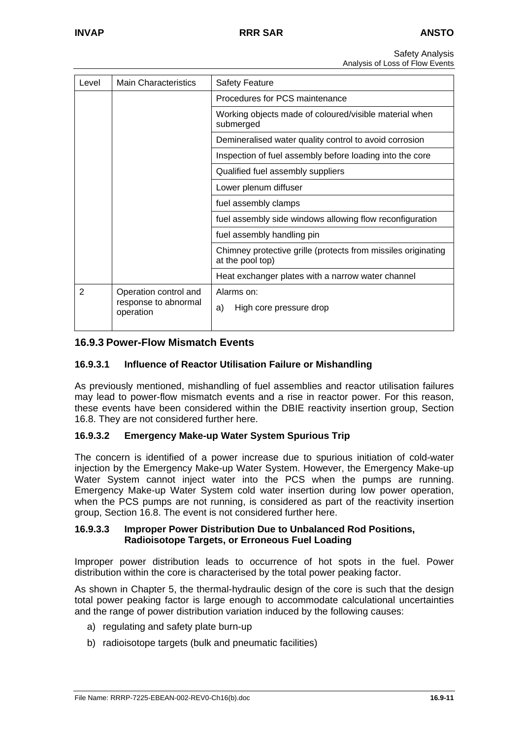| Level          | <b>Main Characteristics</b>                                | <b>Safety Feature</b>                                                             |  |
|----------------|------------------------------------------------------------|-----------------------------------------------------------------------------------|--|
|                |                                                            | Procedures for PCS maintenance                                                    |  |
|                |                                                            | Working objects made of coloured/visible material when<br>submerged               |  |
|                |                                                            | Demineralised water quality control to avoid corrosion                            |  |
|                |                                                            | Inspection of fuel assembly before loading into the core                          |  |
|                |                                                            | Qualified fuel assembly suppliers                                                 |  |
|                |                                                            | Lower plenum diffuser                                                             |  |
|                |                                                            | fuel assembly clamps                                                              |  |
|                |                                                            | fuel assembly side windows allowing flow reconfiguration                          |  |
|                |                                                            | fuel assembly handling pin                                                        |  |
|                |                                                            | Chimney protective grille (protects from missiles originating<br>at the pool top) |  |
|                |                                                            | Heat exchanger plates with a narrow water channel                                 |  |
| $\overline{2}$ | Operation control and<br>response to abnormal<br>operation | Alarms on:<br>a)<br>High core pressure drop                                       |  |

## **16.9.3 Power-Flow Mismatch Events**

## **16.9.3.1 Influence of Reactor Utilisation Failure or Mishandling**

As previously mentioned, mishandling of fuel assemblies and reactor utilisation failures may lead to power-flow mismatch events and a rise in reactor power. For this reason, these events have been considered within the DBIE reactivity insertion group, Section 16.8. They are not considered further here.

#### **16.9.3.2 Emergency Make-up Water System Spurious Trip**

The concern is identified of a power increase due to spurious initiation of cold-water injection by the Emergency Make-up Water System. However, the Emergency Make-up Water System cannot inject water into the PCS when the pumps are running. Emergency Make-up Water System cold water insertion during low power operation, when the PCS pumps are not running, is considered as part of the reactivity insertion group, Section 16.8. The event is not considered further here.

#### **16.9.3.3 Improper Power Distribution Due to Unbalanced Rod Positions, Radioisotope Targets, or Erroneous Fuel Loading**

Improper power distribution leads to occurrence of hot spots in the fuel. Power distribution within the core is characterised by the total power peaking factor.

As shown in Chapter 5, the thermal-hydraulic design of the core is such that the design total power peaking factor is large enough to accommodate calculational uncertainties and the range of power distribution variation induced by the following causes:

- a) regulating and safety plate burn-up
- b) radioisotope targets (bulk and pneumatic facilities)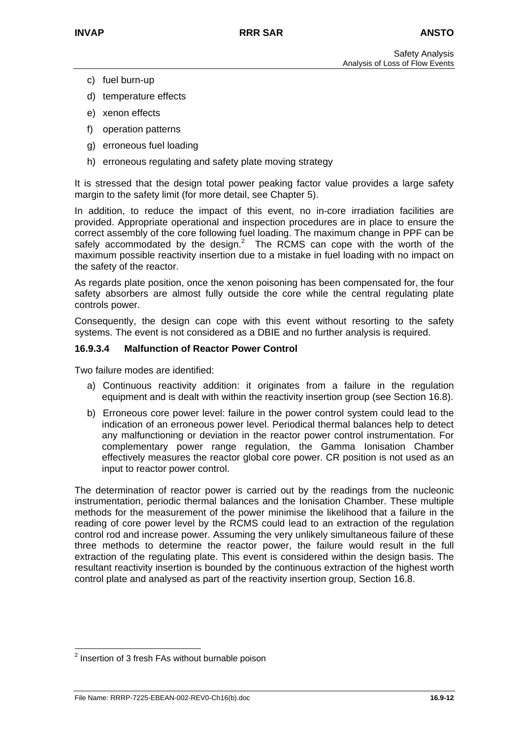- c) fuel burn-up
- d) temperature effects
- e) xenon effects
- f) operation patterns
- g) erroneous fuel loading
- h) erroneous regulating and safety plate moving strategy

It is stressed that the design total power peaking factor value provides a large safety margin to the safety limit (for more detail, see Chapter 5).

In addition, to reduce the impact of this event, no in-core irradiation facilities are provided. Appropriate operational and inspection procedures are in place to ensure the correct assembly of the core following fuel loading. The maximum change in PPF can be safely accommodated by the design.<sup>2</sup> The RCMS can cope with the worth of the maximum possible reactivity insertion due to a mistake in fuel loading with no impact on the safety of the reactor.

As regards plate position, once the xenon poisoning has been compensated for, the four safety absorbers are almost fully outside the core while the central regulating plate controls power.

Consequently, the design can cope with this event without resorting to the safety systems. The event is not considered as a DBIE and no further analysis is required.

#### **16.9.3.4 Malfunction of Reactor Power Control**

Two failure modes are identified:

- a) Continuous reactivity addition: it originates from a failure in the regulation equipment and is dealt with within the reactivity insertion group (see Section 16.8).
- b) Erroneous core power level: failure in the power control system could lead to the indication of an erroneous power level. Periodical thermal balances help to detect any malfunctioning or deviation in the reactor power control instrumentation. For complementary power range regulation, the Gamma Ionisation Chamber effectively measures the reactor global core power. CR position is not used as an input to reactor power control.

The determination of reactor power is carried out by the readings from the nucleonic instrumentation, periodic thermal balances and the Ionisation Chamber. These multiple methods for the measurement of the power minimise the likelihood that a failure in the reading of core power level by the RCMS could lead to an extraction of the regulation control rod and increase power. Assuming the very unlikely simultaneous failure of these three methods to determine the reactor power, the failure would result in the full extraction of the regulating plate. This event is considered within the design basis. The resultant reactivity insertion is bounded by the continuous extraction of the highest worth control plate and analysed as part of the reactivity insertion group, Section 16.8.

<span id="page-11-0"></span><sup>&</sup>lt;u>2</u><br><sup>2</sup> Insertion of 3 fresh FAs without burnable poison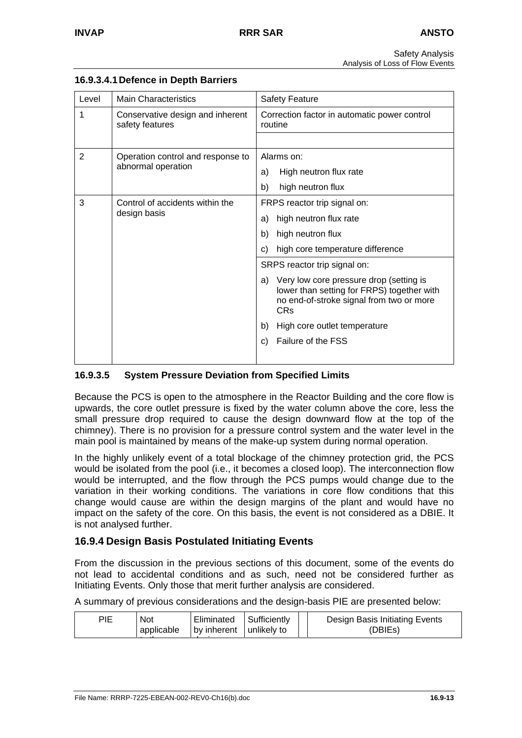| Level                                | <b>Main Characteristics</b>                         | <b>Safety Feature</b>                                                                                                                                            |
|--------------------------------------|-----------------------------------------------------|------------------------------------------------------------------------------------------------------------------------------------------------------------------|
|                                      |                                                     |                                                                                                                                                                  |
| 1                                    | Conservative design and inherent<br>safety features | Correction factor in automatic power control<br>routine                                                                                                          |
|                                      |                                                     |                                                                                                                                                                  |
| $\overline{2}$                       | Operation control and response to                   | Alarms on:                                                                                                                                                       |
|                                      | abnormal operation                                  | High neutron flux rate<br>a)                                                                                                                                     |
|                                      |                                                     | high neutron flux<br>b)                                                                                                                                          |
| 3<br>Control of accidents within the |                                                     | FRPS reactor trip signal on:                                                                                                                                     |
| design basis                         | high neutron flux rate<br>a)                        |                                                                                                                                                                  |
|                                      |                                                     | high neutron flux<br>b)                                                                                                                                          |
|                                      |                                                     | high core temperature difference<br>C)                                                                                                                           |
|                                      |                                                     | SRPS reactor trip signal on:                                                                                                                                     |
|                                      |                                                     | Very low core pressure drop (setting is<br>a)<br>lower than setting for FRPS) together with<br>no end-of-stroke signal from two or more<br><b>CR<sub>S</sub></b> |
|                                      |                                                     | High core outlet temperature<br>b)                                                                                                                               |
|                                      |                                                     | Failure of the FSS<br>C)                                                                                                                                         |

## **16.9.3.4.1 Defence in Depth Barriers**

## **16.9.3.5 System Pressure Deviation from Specified Limits**

Because the PCS is open to the atmosphere in the Reactor Building and the core flow is upwards, the core outlet pressure is fixed by the water column above the core, less the small pressure drop required to cause the design downward flow at the top of the chimney). There is no provision for a pressure control system and the water level in the main pool is maintained by means of the make-up system during normal operation.

In the highly unlikely event of a total blockage of the chimney protection grid, the PCS would be isolated from the pool (i.e., it becomes a closed loop). The interconnection flow would be interrupted, and the flow through the PCS pumps would change due to the variation in their working conditions. The variations in core flow conditions that this change would cause are within the design margins of the plant and would have no impact on the safety of the core. On this basis, the event is not considered as a DBIE. It is not analysed further.

## **16.9.4 Design Basis Postulated Initiating Events**

From the discussion in the previous sections of this document, some of the events do not lead to accidental conditions and as such, need not be considered further as Initiating Events. Only those that merit further analysis are considered.

A summary of previous considerations and the design-basis PIE are presented below:

|  | PIE | Not<br>applicable | Eliminated<br>I by inherent I unlikely to | Sufficiently |  | Design Basis Initiating Events<br>(DBIEs) |
|--|-----|-------------------|-------------------------------------------|--------------|--|-------------------------------------------|
|--|-----|-------------------|-------------------------------------------|--------------|--|-------------------------------------------|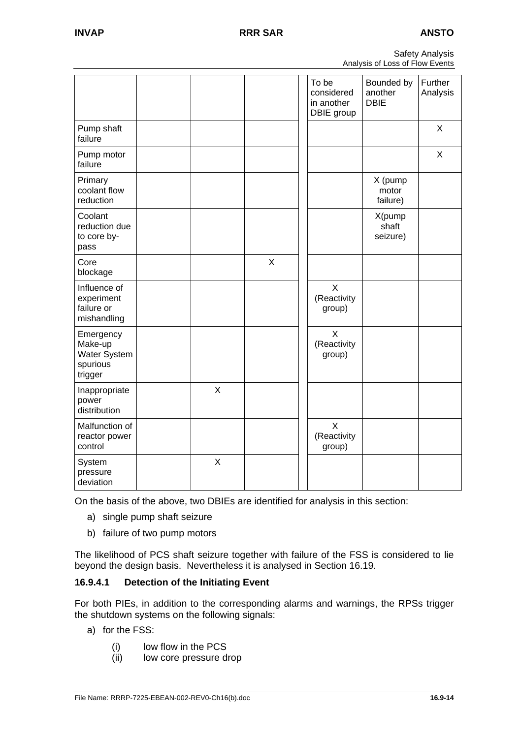|                                 | <b>Safety Analysis</b> |
|---------------------------------|------------------------|
| Analysis of Loss of Flow Events |                        |

|                                                             |         |             | To be<br>considered<br>in another<br>DBIE group | Bounded by<br>another<br><b>DBIE</b> | Further<br>Analysis |
|-------------------------------------------------------------|---------|-------------|-------------------------------------------------|--------------------------------------|---------------------|
| Pump shaft<br>failure                                       |         |             |                                                 |                                      | X                   |
| Pump motor<br>failure                                       |         |             |                                                 |                                      | X                   |
| Primary<br>coolant flow<br>reduction                        |         |             |                                                 | X (pump<br>motor<br>failure)         |                     |
| Coolant<br>reduction due<br>to core by-<br>pass             |         |             |                                                 | X(pump<br>shaft<br>seizure)          |                     |
| Core<br>blockage                                            |         | $\mathsf X$ |                                                 |                                      |                     |
| Influence of<br>experiment<br>failure or<br>mishandling     |         |             | $\mathsf{X}$<br>(Reactivity<br>group)           |                                      |                     |
| Emergency<br>Make-up<br>Water System<br>spurious<br>trigger |         |             | $\times$<br>(Reactivity<br>group)               |                                      |                     |
| Inappropriate<br>power<br>distribution                      | $\sf X$ |             |                                                 |                                      |                     |
| Malfunction of<br>reactor power<br>control                  |         |             | X<br>(Reactivity<br>group)                      |                                      |                     |
| System<br>pressure<br>deviation                             | $\sf X$ |             |                                                 |                                      |                     |

On the basis of the above, two DBIEs are identified for analysis in this section:

- a) single pump shaft seizure
- b) failure of two pump motors

The likelihood of PCS shaft seizure together with failure of the FSS is considered to lie beyond the design basis. Nevertheless it is analysed in Section 16.19.

## **16.9.4.1 Detection of the Initiating Event**

For both PIEs, in addition to the corresponding alarms and warnings, the RPSs trigger the shutdown systems on the following signals:

- a) for the FSS:
	- (i) low flow in the PCS
	- (ii) low core pressure drop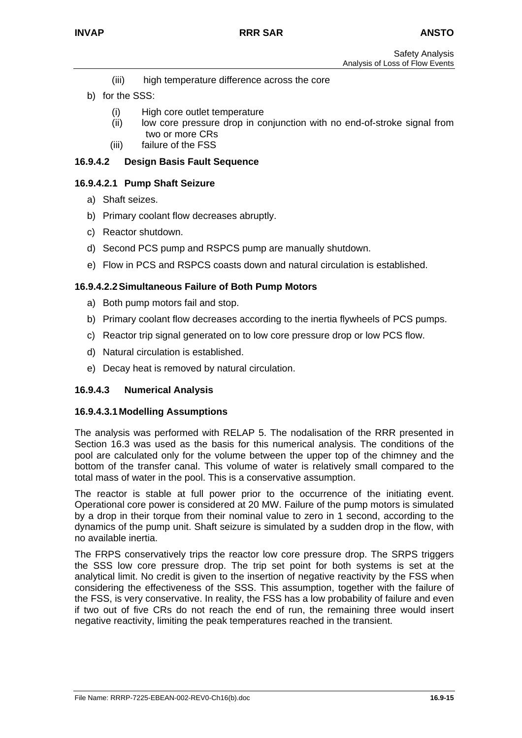- (iii) high temperature difference across the core
- b) for the SSS:
	- (i) High core outlet temperature
	- (ii) low core pressure drop in conjunction with no end-of-stroke signal from two or more CRs
	- (iii) failure of the FSS

## **16.9.4.2 Design Basis Fault Sequence**

#### **16.9.4.2.1 Pump Shaft Seizure**

- a) Shaft seizes.
- b) Primary coolant flow decreases abruptly.
- c) Reactor shutdown.
- d) Second PCS pump and RSPCS pump are manually shutdown.
- e) Flow in PCS and RSPCS coasts down and natural circulation is established.

### **16.9.4.2.2 Simultaneous Failure of Both Pump Motors**

- a) Both pump motors fail and stop.
- b) Primary coolant flow decreases according to the inertia flywheels of PCS pumps.
- c) Reactor trip signal generated on to low core pressure drop or low PCS flow.
- d) Natural circulation is established.
- e) Decay heat is removed by natural circulation.

## **16.9.4.3 Numerical Analysis**

#### **16.9.4.3.1 Modelling Assumptions**

The analysis was performed with RELAP 5. The nodalisation of the RRR presented in Section 16.3 was used as the basis for this numerical analysis. The conditions of the pool are calculated only for the volume between the upper top of the chimney and the bottom of the transfer canal. This volume of water is relatively small compared to the total mass of water in the pool. This is a conservative assumption.

The reactor is stable at full power prior to the occurrence of the initiating event. Operational core power is considered at 20 MW. Failure of the pump motors is simulated by a drop in their torque from their nominal value to zero in 1 second, according to the dynamics of the pump unit. Shaft seizure is simulated by a sudden drop in the flow, with no available inertia.

The FRPS conservatively trips the reactor low core pressure drop. The SRPS triggers the SSS low core pressure drop. The trip set point for both systems is set at the analytical limit. No credit is given to the insertion of negative reactivity by the FSS when considering the effectiveness of the SSS. This assumption, together with the failure of the FSS, is very conservative. In reality, the FSS has a low probability of failure and even if two out of five CRs do not reach the end of run, the remaining three would insert negative reactivity, limiting the peak temperatures reached in the transient.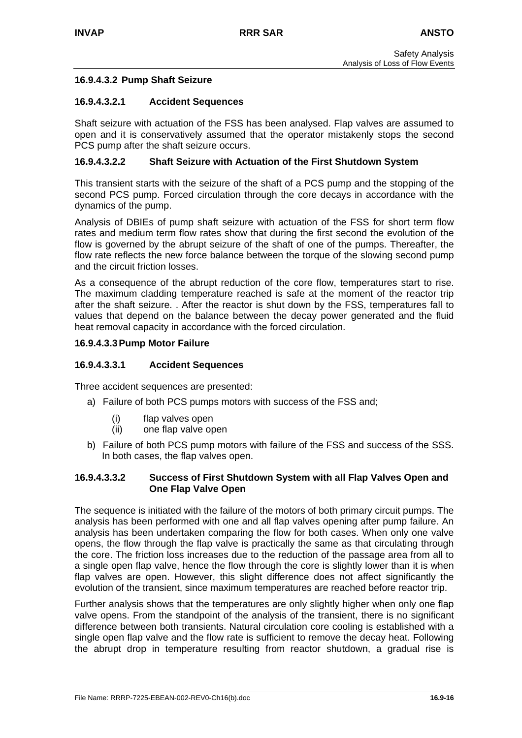## **16.9.4.3.2 Pump Shaft Seizure**

#### **16.9.4.3.2.1 Accident Sequences**

Shaft seizure with actuation of the FSS has been analysed. Flap valves are assumed to open and it is conservatively assumed that the operator mistakenly stops the second PCS pump after the shaft seizure occurs.

### **16.9.4.3.2.2 Shaft Seizure with Actuation of the First Shutdown System**

This transient starts with the seizure of the shaft of a PCS pump and the stopping of the second PCS pump. Forced circulation through the core decays in accordance with the dynamics of the pump.

Analysis of DBIEs of pump shaft seizure with actuation of the FSS for short term flow rates and medium term flow rates show that during the first second the evolution of the flow is governed by the abrupt seizure of the shaft of one of the pumps. Thereafter, the flow rate reflects the new force balance between the torque of the slowing second pump and the circuit friction losses.

As a consequence of the abrupt reduction of the core flow, temperatures start to rise. The maximum cladding temperature reached is safe at the moment of the reactor trip after the shaft seizure. . After the reactor is shut down by the FSS, temperatures fall to values that depend on the balance between the decay power generated and the fluid heat removal capacity in accordance with the forced circulation.

#### **16.9.4.3.3 Pump Motor Failure**

#### **16.9.4.3.3.1 Accident Sequences**

Three accident sequences are presented:

- a) Failure of both PCS pumps motors with success of the FSS and;
	- (i) flap valves open
	- (ii) one flap valve open
- b) Failure of both PCS pump motors with failure of the FSS and success of the SSS. In both cases, the flap valves open.

#### **16.9.4.3.3.2 Success of First Shutdown System with all Flap Valves Open and One Flap Valve Open**

The sequence is initiated with the failure of the motors of both primary circuit pumps. The analysis has been performed with one and all flap valves opening after pump failure. An analysis has been undertaken comparing the flow for both cases. When only one valve opens, the flow through the flap valve is practically the same as that circulating through the core. The friction loss increases due to the reduction of the passage area from all to a single open flap valve, hence the flow through the core is slightly lower than it is when flap valves are open. However, this slight difference does not affect significantly the evolution of the transient, since maximum temperatures are reached before reactor trip.

Further analysis shows that the temperatures are only slightly higher when only one flap valve opens. From the standpoint of the analysis of the transient, there is no significant difference between both transients. Natural circulation core cooling is established with a single open flap valve and the flow rate is sufficient to remove the decay heat. Following the abrupt drop in temperature resulting from reactor shutdown, a gradual rise is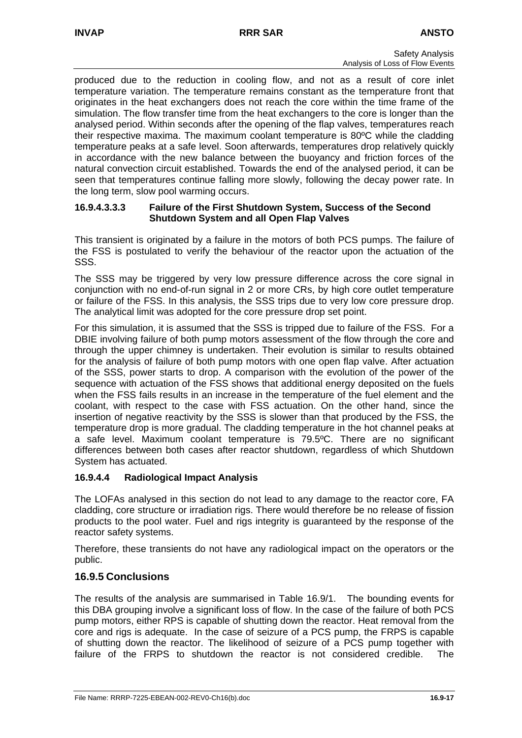produced due to the reduction in cooling flow, and not as a result of core inlet temperature variation. The temperature remains constant as the temperature front that originates in the heat exchangers does not reach the core within the time frame of the simulation. The flow transfer time from the heat exchangers to the core is longer than the analysed period. Within seconds after the opening of the flap valves, temperatures reach their respective maxima. The maximum coolant temperature is 80ºC while the cladding temperature peaks at a safe level. Soon afterwards, temperatures drop relatively quickly in accordance with the new balance between the buoyancy and friction forces of the natural convection circuit established. Towards the end of the analysed period, it can be seen that temperatures continue falling more slowly, following the decay power rate. In the long term, slow pool warming occurs.

### **16.9.4.3.3.3 Failure of the First Shutdown System, Success of the Second Shutdown System and all Open Flap Valves**

This transient is originated by a failure in the motors of both PCS pumps. The failure of the FSS is postulated to verify the behaviour of the reactor upon the actuation of the SSS.

The SSS may be triggered by very low pressure difference across the core signal in conjunction with no end-of-run signal in 2 or more CRs, by high core outlet temperature or failure of the FSS. In this analysis, the SSS trips due to very low core pressure drop. The analytical limit was adopted for the core pressure drop set point.

For this simulation, it is assumed that the SSS is tripped due to failure of the FSS. For a DBIE involving failure of both pump motors assessment of the flow through the core and through the upper chimney is undertaken. Their evolution is similar to results obtained for the analysis of failure of both pump motors with one open flap valve. After actuation of the SSS, power starts to drop. A comparison with the evolution of the power of the sequence with actuation of the FSS shows that additional energy deposited on the fuels when the FSS fails results in an increase in the temperature of the fuel element and the coolant, with respect to the case with FSS actuation. On the other hand, since the insertion of negative reactivity by the SSS is slower than that produced by the FSS, the temperature drop is more gradual. The cladding temperature in the hot channel peaks at a safe level. Maximum coolant temperature is 79.5ºC. There are no significant differences between both cases after reactor shutdown, regardless of which Shutdown System has actuated.

## **16.9.4.4 Radiological Impact Analysis**

The LOFAs analysed in this section do not lead to any damage to the reactor core, FA cladding, core structure or irradiation rigs. There would therefore be no release of fission products to the pool water. Fuel and rigs integrity is guaranteed by the response of the reactor safety systems.

Therefore, these transients do not have any radiological impact on the operators or the public.

## **16.9.5 Conclusions**

The results of the analysis are summarised in Table 16.9/1. The bounding events for this DBA grouping involve a significant loss of flow. In the case of the failure of both PCS pump motors, either RPS is capable of shutting down the reactor. Heat removal from the core and rigs is adequate. In the case of seizure of a PCS pump, the FRPS is capable of shutting down the reactor. The likelihood of seizure of a PCS pump together with failure of the FRPS to shutdown the reactor is not considered credible. The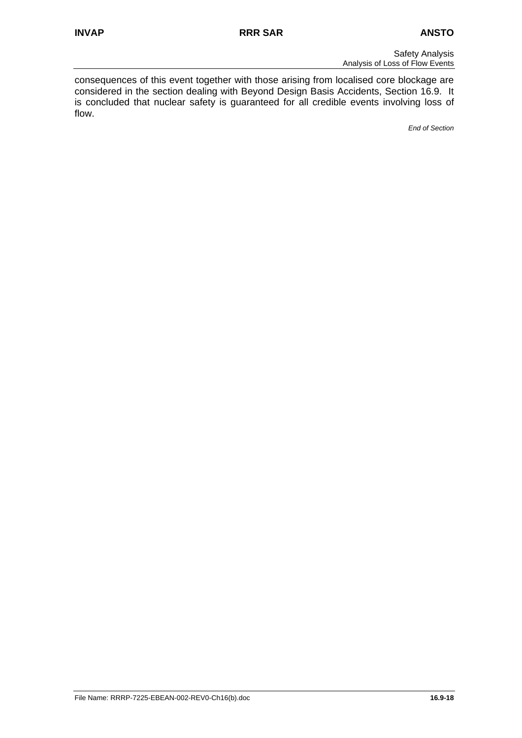consequences of this event together with those arising from localised core blockage are considered in the section dealing with Beyond Design Basis Accidents, Section 16.9. It is concluded that nuclear safety is guaranteed for all credible events involving loss of flow.

*End of Section*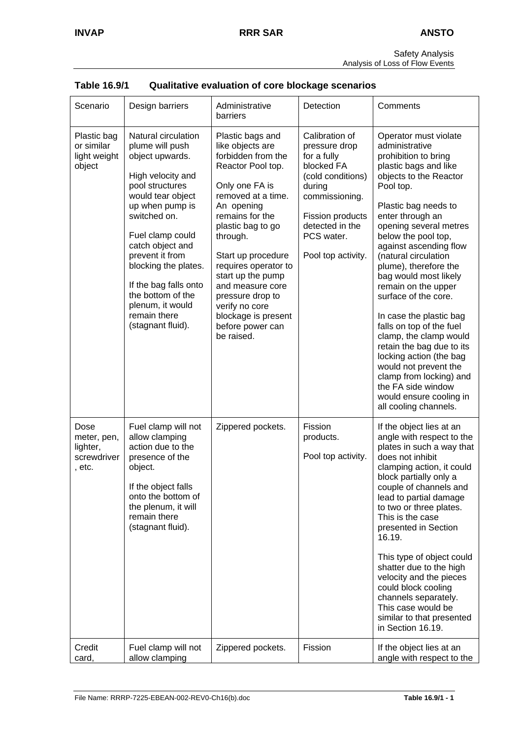| <b>Safety Analysis</b>          |
|---------------------------------|
| Analysis of Loss of Flow Events |

| Scenario                                                 | Design barriers                                                                                                                                                                                                                                                                                                                                     | Administrative<br>barriers                                                                                                                                                                                                                                                                                                                                                      | Detection                                                                                                                                                                                | Comments                                                                                                                                                                                                                                                                                                                                                                                                                                                                                                                                                                                                                                               |
|----------------------------------------------------------|-----------------------------------------------------------------------------------------------------------------------------------------------------------------------------------------------------------------------------------------------------------------------------------------------------------------------------------------------------|---------------------------------------------------------------------------------------------------------------------------------------------------------------------------------------------------------------------------------------------------------------------------------------------------------------------------------------------------------------------------------|------------------------------------------------------------------------------------------------------------------------------------------------------------------------------------------|--------------------------------------------------------------------------------------------------------------------------------------------------------------------------------------------------------------------------------------------------------------------------------------------------------------------------------------------------------------------------------------------------------------------------------------------------------------------------------------------------------------------------------------------------------------------------------------------------------------------------------------------------------|
| Plastic bag<br>or similar<br>light weight<br>object      | Natural circulation<br>plume will push<br>object upwards.<br>High velocity and<br>pool structures<br>would tear object<br>up when pump is<br>switched on.<br>Fuel clamp could<br>catch object and<br>prevent it from<br>blocking the plates.<br>If the bag falls onto<br>the bottom of the<br>plenum, it would<br>remain there<br>(stagnant fluid). | Plastic bags and<br>like objects are<br>forbidden from the<br>Reactor Pool top.<br>Only one FA is<br>removed at a time.<br>An opening<br>remains for the<br>plastic bag to go<br>through.<br>Start up procedure<br>requires operator to<br>start up the pump<br>and measure core<br>pressure drop to<br>verify no core<br>blockage is present<br>before power can<br>be raised. | Calibration of<br>pressure drop<br>for a fully<br>blocked FA<br>(cold conditions)<br>during<br>commissioning.<br>Fission products<br>detected in the<br>PCS water.<br>Pool top activity. | Operator must violate<br>administrative<br>prohibition to bring<br>plastic bags and like<br>objects to the Reactor<br>Pool top.<br>Plastic bag needs to<br>enter through an<br>opening several metres<br>below the pool top,<br>against ascending flow<br>(natural circulation<br>plume), therefore the<br>bag would most likely<br>remain on the upper<br>surface of the core.<br>In case the plastic bag<br>falls on top of the fuel<br>clamp, the clamp would<br>retain the bag due to its<br>locking action (the bag<br>would not prevent the<br>clamp from locking) and<br>the FA side window<br>would ensure cooling in<br>all cooling channels. |
| Dose<br>meter, pen,<br>lighter,<br>screwdriver<br>, etc. | Fuel clamp will not<br>allow clamping<br>action due to the<br>presence of the<br>object.<br>If the object falls<br>onto the bottom of<br>the plenum, it will<br>remain there<br>(stagnant fluid).                                                                                                                                                   | Zippered pockets.                                                                                                                                                                                                                                                                                                                                                               | Fission<br>products.<br>Pool top activity.                                                                                                                                               | If the object lies at an<br>angle with respect to the<br>plates in such a way that<br>does not inhibit<br>clamping action, it could<br>block partially only a<br>couple of channels and<br>lead to partial damage<br>to two or three plates.<br>This is the case<br>presented in Section<br>16.19.<br>This type of object could<br>shatter due to the high<br>velocity and the pieces<br>could block cooling<br>channels separately.<br>This case would be<br>similar to that presented<br>in Section 16.19.                                                                                                                                           |
| Credit<br>card,                                          | Fuel clamp will not<br>allow clamping                                                                                                                                                                                                                                                                                                               | Zippered pockets.                                                                                                                                                                                                                                                                                                                                                               | Fission                                                                                                                                                                                  | If the object lies at an<br>angle with respect to the                                                                                                                                                                                                                                                                                                                                                                                                                                                                                                                                                                                                  |

| Table 16.9/1 | Qualitative evaluation of core blockage scenarios |
|--------------|---------------------------------------------------|
|--------------|---------------------------------------------------|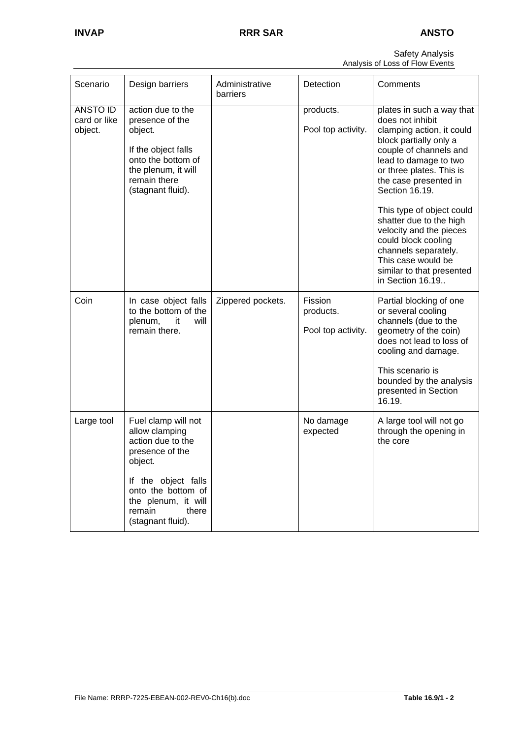| Scenario                            | Design barriers                                                                                                                                                                                      | Administrative<br>barriers | Detection                                  | Comments                                                                                                                                                                                                                                                                                                                                                                                                                                |
|-------------------------------------|------------------------------------------------------------------------------------------------------------------------------------------------------------------------------------------------------|----------------------------|--------------------------------------------|-----------------------------------------------------------------------------------------------------------------------------------------------------------------------------------------------------------------------------------------------------------------------------------------------------------------------------------------------------------------------------------------------------------------------------------------|
| ANSTO ID<br>card or like<br>object. | action due to the<br>presence of the<br>object.<br>If the object falls<br>onto the bottom of<br>the plenum, it will<br>remain there<br>(stagnant fluid).                                             |                            | products.<br>Pool top activity.            | plates in such a way that<br>does not inhibit<br>clamping action, it could<br>block partially only a<br>couple of channels and<br>lead to damage to two<br>or three plates. This is<br>the case presented in<br>Section 16.19.<br>This type of object could<br>shatter due to the high<br>velocity and the pieces<br>could block cooling<br>channels separately.<br>This case would be<br>similar to that presented<br>in Section 16.19 |
| Coin                                | In case object falls<br>to the bottom of the<br>it<br>plenum,<br>will<br>remain there.                                                                                                               | Zippered pockets.          | Fission<br>products.<br>Pool top activity. | Partial blocking of one<br>or several cooling<br>channels (due to the<br>geometry of the coin)<br>does not lead to loss of<br>cooling and damage.<br>This scenario is<br>bounded by the analysis<br>presented in Section<br>16.19.                                                                                                                                                                                                      |
| Large tool                          | Fuel clamp will not<br>allow clamping<br>action due to the<br>presence of the<br>object.<br>If the object falls<br>onto the bottom of<br>the plenum, it will<br>there<br>remain<br>(stagnant fluid). |                            | No damage<br>expected                      | A large tool will not go<br>through the opening in<br>the core                                                                                                                                                                                                                                                                                                                                                                          |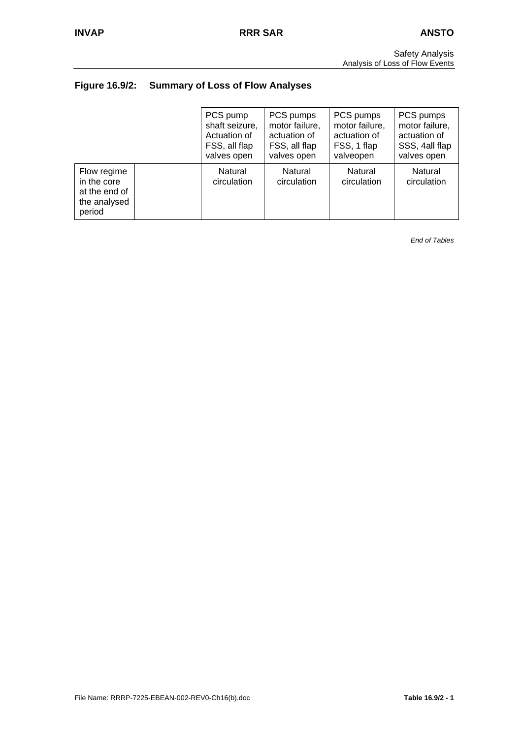# **Figure 16.9/2: Summary of Loss of Flow Analyses**

|                                                                       | PCS pump               | PCS pumps              | PCS pumps              | PCS pumps              |
|-----------------------------------------------------------------------|------------------------|------------------------|------------------------|------------------------|
|                                                                       | shaft seizure,         | motor failure,         | motor failure,         | motor failure,         |
|                                                                       | Actuation of           | actuation of           | actuation of           | actuation of           |
|                                                                       | FSS, all flap          | FSS, all flap          | FSS, 1 flap            | SSS, 4all flap         |
|                                                                       | valves open            | valves open            | valveopen              | valves open            |
| Flow regime<br>in the core<br>at the end of<br>the analysed<br>period | Natural<br>circulation | Natural<br>circulation | Natural<br>circulation | Natural<br>circulation |

*End of Tables*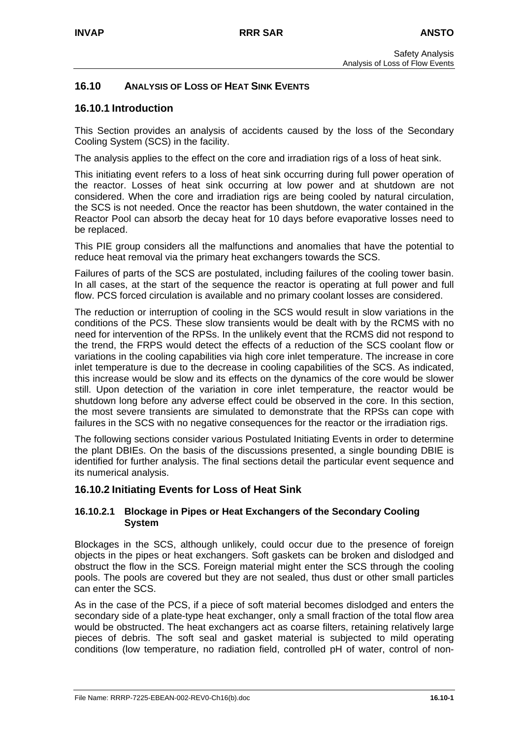## **16.10 ANALYSIS OF LOSS OF HEAT SINK EVENTS**

## **16.10.1 Introduction**

This Section provides an analysis of accidents caused by the loss of the Secondary Cooling System (SCS) in the facility.

The analysis applies to the effect on the core and irradiation rigs of a loss of heat sink.

This initiating event refers to a loss of heat sink occurring during full power operation of the reactor. Losses of heat sink occurring at low power and at shutdown are not considered. When the core and irradiation rigs are being cooled by natural circulation, the SCS is not needed. Once the reactor has been shutdown, the water contained in the Reactor Pool can absorb the decay heat for 10 days before evaporative losses need to be replaced.

This PIE group considers all the malfunctions and anomalies that have the potential to reduce heat removal via the primary heat exchangers towards the SCS.

Failures of parts of the SCS are postulated, including failures of the cooling tower basin. In all cases, at the start of the sequence the reactor is operating at full power and full flow. PCS forced circulation is available and no primary coolant losses are considered.

The reduction or interruption of cooling in the SCS would result in slow variations in the conditions of the PCS. These slow transients would be dealt with by the RCMS with no need for intervention of the RPSs. In the unlikely event that the RCMS did not respond to the trend, the FRPS would detect the effects of a reduction of the SCS coolant flow or variations in the cooling capabilities via high core inlet temperature. The increase in core inlet temperature is due to the decrease in cooling capabilities of the SCS. As indicated, this increase would be slow and its effects on the dynamics of the core would be slower still. Upon detection of the variation in core inlet temperature, the reactor would be shutdown long before any adverse effect could be observed in the core. In this section, the most severe transients are simulated to demonstrate that the RPSs can cope with failures in the SCS with no negative consequences for the reactor or the irradiation rigs.

The following sections consider various Postulated Initiating Events in order to determine the plant DBIEs. On the basis of the discussions presented, a single bounding DBIE is identified for further analysis. The final sections detail the particular event sequence and its numerical analysis.

#### **16.10.2 Initiating Events for Loss of Heat Sink**

#### **16.10.2.1 Blockage in Pipes or Heat Exchangers of the Secondary Cooling System**

Blockages in the SCS, although unlikely, could occur due to the presence of foreign objects in the pipes or heat exchangers. Soft gaskets can be broken and dislodged and obstruct the flow in the SCS. Foreign material might enter the SCS through the cooling pools. The pools are covered but they are not sealed, thus dust or other small particles can enter the SCS.

As in the case of the PCS, if a piece of soft material becomes dislodged and enters the secondary side of a plate-type heat exchanger, only a small fraction of the total flow area would be obstructed. The heat exchangers act as coarse filters, retaining relatively large pieces of debris. The soft seal and gasket material is subjected to mild operating conditions (low temperature, no radiation field, controlled pH of water, control of non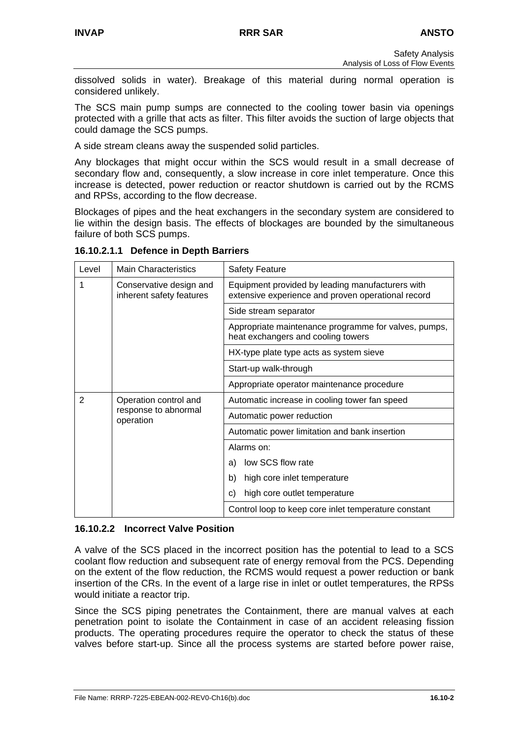dissolved solids in water). Breakage of this material during normal operation is considered unlikely.

The SCS main pump sumps are connected to the cooling tower basin via openings protected with a grille that acts as filter. This filter avoids the suction of large objects that could damage the SCS pumps.

A side stream cleans away the suspended solid particles.

Any blockages that might occur within the SCS would result in a small decrease of secondary flow and, consequently, a slow increase in core inlet temperature. Once this increase is detected, power reduction or reactor shutdown is carried out by the RCMS and RPSs, according to the flow decrease.

Blockages of pipes and the heat exchangers in the secondary system are considered to lie within the design basis. The effects of blockages are bounded by the simultaneous failure of both SCS pumps.

**16.10.2.1.1 Defence in Depth Barriers** 

| Level | <b>Main Characteristics</b>                         | <b>Safety Feature</b>                                                                                  |
|-------|-----------------------------------------------------|--------------------------------------------------------------------------------------------------------|
|       | Conservative design and<br>inherent safety features | Equipment provided by leading manufacturers with<br>extensive experience and proven operational record |
|       |                                                     | Side stream separator                                                                                  |
|       |                                                     | Appropriate maintenance programme for valves, pumps,<br>heat exchangers and cooling towers             |
|       |                                                     | HX-type plate type acts as system sieve                                                                |
|       |                                                     | Start-up walk-through                                                                                  |
|       |                                                     | Appropriate operator maintenance procedure                                                             |
| 2     | Operation control and                               | Automatic increase in cooling tower fan speed                                                          |
|       | response to abnormal<br>operation                   | Automatic power reduction                                                                              |
|       |                                                     | Automatic power limitation and bank insertion                                                          |
|       |                                                     | Alarms on:                                                                                             |
|       |                                                     | low SCS flow rate<br>a)                                                                                |
|       |                                                     | high core inlet temperature<br>b)                                                                      |
|       |                                                     | high core outlet temperature<br>C)                                                                     |
|       |                                                     | Control loop to keep core inlet temperature constant                                                   |

#### **16.10.2.2 Incorrect Valve Position**

A valve of the SCS placed in the incorrect position has the potential to lead to a SCS coolant flow reduction and subsequent rate of energy removal from the PCS. Depending on the extent of the flow reduction, the RCMS would request a power reduction or bank insertion of the CRs. In the event of a large rise in inlet or outlet temperatures, the RPSs would initiate a reactor trip.

Since the SCS piping penetrates the Containment, there are manual valves at each penetration point to isolate the Containment in case of an accident releasing fission products. The operating procedures require the operator to check the status of these valves before start-up. Since all the process systems are started before power raise,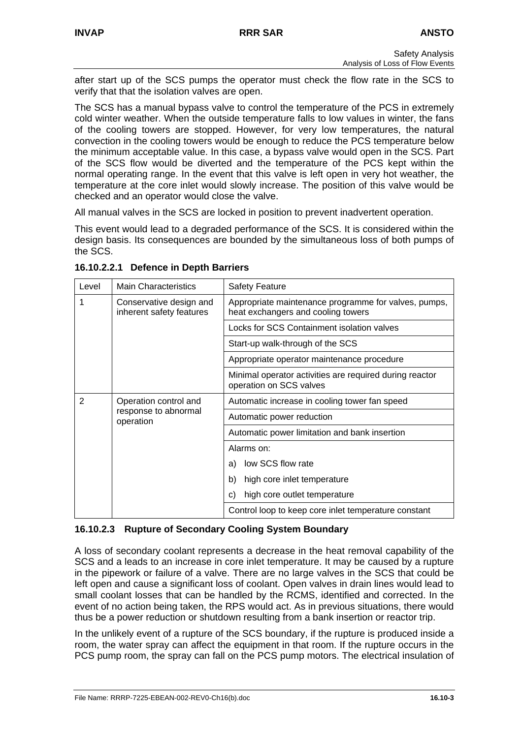after start up of the SCS pumps the operator must check the flow rate in the SCS to verify that that the isolation valves are open.

The SCS has a manual bypass valve to control the temperature of the PCS in extremely cold winter weather. When the outside temperature falls to low values in winter, the fans of the cooling towers are stopped. However, for very low temperatures, the natural convection in the cooling towers would be enough to reduce the PCS temperature below the minimum acceptable value. In this case, a bypass valve would open in the SCS. Part of the SCS flow would be diverted and the temperature of the PCS kept within the normal operating range. In the event that this valve is left open in very hot weather, the temperature at the core inlet would slowly increase. The position of this valve would be checked and an operator would close the valve.

All manual valves in the SCS are locked in position to prevent inadvertent operation.

This event would lead to a degraded performance of the SCS. It is considered within the design basis. Its consequences are bounded by the simultaneous loss of both pumps of the SCS.

| Level | <b>Main Characteristics</b>                         | <b>Safety Feature</b>                                                                      |  |
|-------|-----------------------------------------------------|--------------------------------------------------------------------------------------------|--|
|       | Conservative design and<br>inherent safety features | Appropriate maintenance programme for valves, pumps,<br>heat exchangers and cooling towers |  |
|       |                                                     | Locks for SCS Containment isolation valves                                                 |  |
|       |                                                     | Start-up walk-through of the SCS                                                           |  |
|       |                                                     | Appropriate operator maintenance procedure                                                 |  |
|       |                                                     | Minimal operator activities are required during reactor<br>operation on SCS valves         |  |
| 2     | Operation control and                               | Automatic increase in cooling tower fan speed                                              |  |
|       | response to abnormal<br>operation                   | Automatic power reduction                                                                  |  |
|       |                                                     | Automatic power limitation and bank insertion                                              |  |
|       |                                                     | Alarms on:                                                                                 |  |
|       |                                                     | low SCS flow rate<br>a)                                                                    |  |
|       |                                                     | high core inlet temperature<br>b)                                                          |  |
|       |                                                     | high core outlet temperature<br>C)                                                         |  |
|       |                                                     | Control loop to keep core inlet temperature constant                                       |  |

**16.10.2.2.1 Defence in Depth Barriers** 

## **16.10.2.3 Rupture of Secondary Cooling System Boundary**

A loss of secondary coolant represents a decrease in the heat removal capability of the SCS and a leads to an increase in core inlet temperature. It may be caused by a rupture in the pipework or failure of a valve. There are no large valves in the SCS that could be left open and cause a significant loss of coolant. Open valves in drain lines would lead to small coolant losses that can be handled by the RCMS, identified and corrected. In the event of no action being taken, the RPS would act. As in previous situations, there would thus be a power reduction or shutdown resulting from a bank insertion or reactor trip.

In the unlikely event of a rupture of the SCS boundary, if the rupture is produced inside a room, the water spray can affect the equipment in that room. If the rupture occurs in the PCS pump room, the spray can fall on the PCS pump motors. The electrical insulation of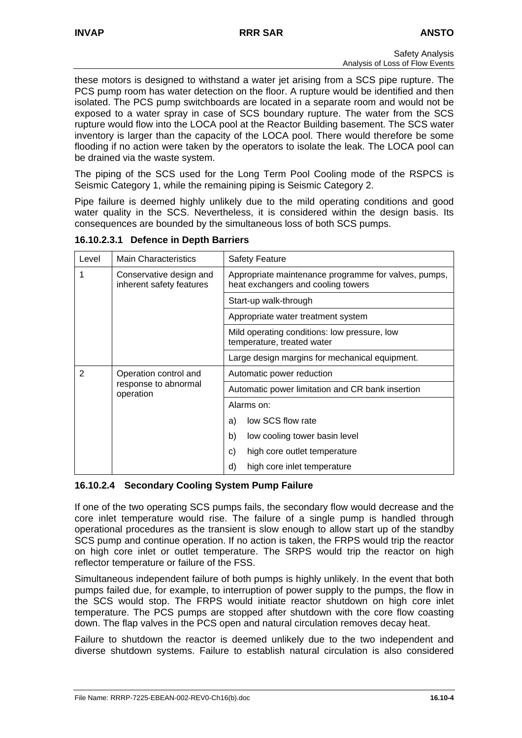these motors is designed to withstand a water jet arising from a SCS pipe rupture. The PCS pump room has water detection on the floor. A rupture would be identified and then isolated. The PCS pump switchboards are located in a separate room and would not be exposed to a water spray in case of SCS boundary rupture. The water from the SCS rupture would flow into the LOCA pool at the Reactor Building basement. The SCS water inventory is larger than the capacity of the LOCA pool. There would therefore be some flooding if no action were taken by the operators to isolate the leak. The LOCA pool can be drained via the waste system.

The piping of the SCS used for the Long Term Pool Cooling mode of the RSPCS is Seismic Category 1, while the remaining piping is Seismic Category 2.

Pipe failure is deemed highly unlikely due to the mild operating conditions and good water quality in the SCS. Nevertheless, it is considered within the design basis. Its consequences are bounded by the simultaneous loss of both SCS pumps.

| Level | <b>Main Characteristics</b>                         | <b>Safety Feature</b>                                                                      |  |
|-------|-----------------------------------------------------|--------------------------------------------------------------------------------------------|--|
|       | Conservative design and<br>inherent safety features | Appropriate maintenance programme for valves, pumps,<br>heat exchangers and cooling towers |  |
|       |                                                     | Start-up walk-through                                                                      |  |
|       |                                                     | Appropriate water treatment system                                                         |  |
|       |                                                     | Mild operating conditions: low pressure, low<br>temperature, treated water                 |  |
|       |                                                     | Large design margins for mechanical equipment.                                             |  |
| 2     | Operation control and                               | Automatic power reduction                                                                  |  |
|       | response to abnormal<br>operation                   | Automatic power limitation and CR bank insertion                                           |  |
|       |                                                     | Alarms on:                                                                                 |  |
|       |                                                     | low SCS flow rate<br>a)                                                                    |  |
|       |                                                     | b)<br>low cooling tower basin level                                                        |  |
|       |                                                     | high core outlet temperature<br>c)                                                         |  |
|       |                                                     | high core inlet temperature<br>d)                                                          |  |

**16.10.2.3.1 Defence in Depth Barriers** 

## **16.10.2.4 Secondary Cooling System Pump Failure**

If one of the two operating SCS pumps fails, the secondary flow would decrease and the core inlet temperature would rise. The failure of a single pump is handled through operational procedures as the transient is slow enough to allow start up of the standby SCS pump and continue operation. If no action is taken, the FRPS would trip the reactor on high core inlet or outlet temperature. The SRPS would trip the reactor on high reflector temperature or failure of the FSS.

Simultaneous independent failure of both pumps is highly unlikely. In the event that both pumps failed due, for example, to interruption of power supply to the pumps, the flow in the SCS would stop. The FRPS would initiate reactor shutdown on high core inlet temperature. The PCS pumps are stopped after shutdown with the core flow coasting down. The flap valves in the PCS open and natural circulation removes decay heat.

Failure to shutdown the reactor is deemed unlikely due to the two independent and diverse shutdown systems. Failure to establish natural circulation is also considered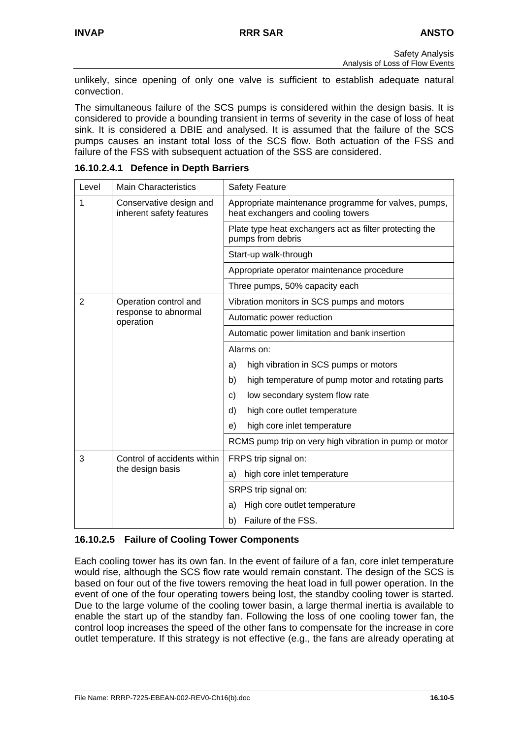unlikely, since opening of only one valve is sufficient to establish adequate natural convection.

The simultaneous failure of the SCS pumps is considered within the design basis. It is considered to provide a bounding transient in terms of severity in the case of loss of heat sink. It is considered a DBIE and analysed. It is assumed that the failure of the SCS pumps causes an instant total loss of the SCS flow. Both actuation of the FSS and failure of the FSS with subsequent actuation of the SSS are considered.

| Level | <b>Main Characteristics</b>                         | <b>Safety Feature</b>                                                                      |
|-------|-----------------------------------------------------|--------------------------------------------------------------------------------------------|
| 1     | Conservative design and<br>inherent safety features | Appropriate maintenance programme for valves, pumps,<br>heat exchangers and cooling towers |
|       |                                                     | Plate type heat exchangers act as filter protecting the<br>pumps from debris               |
|       |                                                     | Start-up walk-through                                                                      |
|       |                                                     | Appropriate operator maintenance procedure                                                 |
|       |                                                     | Three pumps, 50% capacity each                                                             |
| 2     | Operation control and                               | Vibration monitors in SCS pumps and motors                                                 |
|       | response to abnormal<br>operation                   | Automatic power reduction                                                                  |
|       |                                                     | Automatic power limitation and bank insertion                                              |
|       |                                                     | Alarms on:                                                                                 |
|       |                                                     | high vibration in SCS pumps or motors<br>a)                                                |
|       |                                                     | high temperature of pump motor and rotating parts<br>b)                                    |
|       |                                                     | low secondary system flow rate<br>C)                                                       |
|       |                                                     | high core outlet temperature<br>d)                                                         |
|       |                                                     | high core inlet temperature<br>e)                                                          |
|       |                                                     | RCMS pump trip on very high vibration in pump or motor                                     |
| 3     | Control of accidents within                         | FRPS trip signal on:                                                                       |
|       | the design basis                                    | high core inlet temperature<br>a)                                                          |
|       |                                                     | SRPS trip signal on:                                                                       |
|       |                                                     | High core outlet temperature<br>a)                                                         |
|       |                                                     | Failure of the FSS.<br>b)                                                                  |

**16.10.2.4.1 Defence in Depth Barriers** 

## **16.10.2.5 Failure of Cooling Tower Components**

Each cooling tower has its own fan. In the event of failure of a fan, core inlet temperature would rise, although the SCS flow rate would remain constant. The design of the SCS is based on four out of the five towers removing the heat load in full power operation. In the event of one of the four operating towers being lost, the standby cooling tower is started. Due to the large volume of the cooling tower basin, a large thermal inertia is available to enable the start up of the standby fan. Following the loss of one cooling tower fan, the control loop increases the speed of the other fans to compensate for the increase in core outlet temperature. If this strategy is not effective (e.g., the fans are already operating at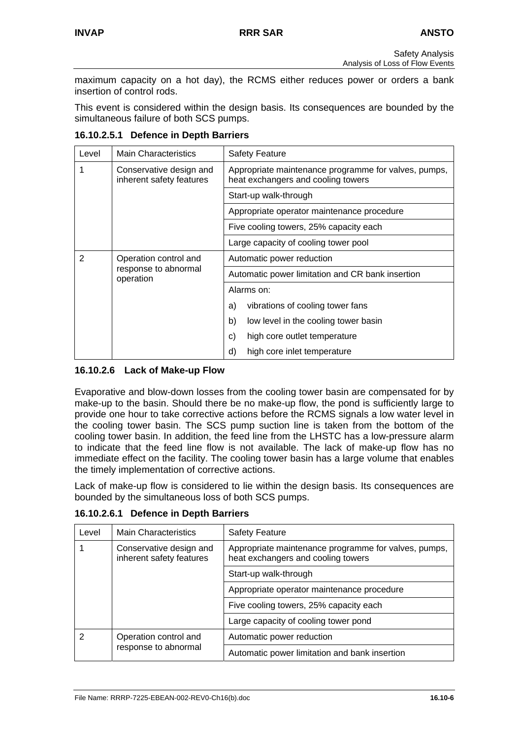maximum capacity on a hot day), the RCMS either reduces power or orders a bank insertion of control rods.

This event is considered within the design basis. Its consequences are bounded by the simultaneous failure of both SCS pumps.

| Level | <b>Main Characteristics</b>                         | <b>Safety Feature</b>                                                                      |  |
|-------|-----------------------------------------------------|--------------------------------------------------------------------------------------------|--|
| 1     | Conservative design and<br>inherent safety features | Appropriate maintenance programme for valves, pumps,<br>heat exchangers and cooling towers |  |
|       |                                                     | Start-up walk-through                                                                      |  |
|       |                                                     | Appropriate operator maintenance procedure                                                 |  |
|       |                                                     | Five cooling towers, 25% capacity each                                                     |  |
|       |                                                     | Large capacity of cooling tower pool                                                       |  |
| 2     | Operation control and                               | Automatic power reduction                                                                  |  |
|       | response to abnormal<br>operation                   | Automatic power limitation and CR bank insertion                                           |  |
|       |                                                     | Alarms on:                                                                                 |  |
|       |                                                     | vibrations of cooling tower fans<br>a)                                                     |  |
|       |                                                     | b)<br>low level in the cooling tower basin                                                 |  |
|       |                                                     | high core outlet temperature<br>C)                                                         |  |
|       |                                                     | high core inlet temperature<br>d)                                                          |  |

**16.10.2.5.1 Defence in Depth Barriers** 

## **16.10.2.6 Lack of Make-up Flow**

Evaporative and blow-down losses from the cooling tower basin are compensated for by make-up to the basin. Should there be no make-up flow, the pond is sufficiently large to provide one hour to take corrective actions before the RCMS signals a low water level in the cooling tower basin. The SCS pump suction line is taken from the bottom of the cooling tower basin. In addition, the feed line from the LHSTC has a low-pressure alarm to indicate that the feed line flow is not available. The lack of make-up flow has no immediate effect on the facility. The cooling tower basin has a large volume that enables the timely implementation of corrective actions.

Lack of make-up flow is considered to lie within the design basis. Its consequences are bounded by the simultaneous loss of both SCS pumps.

| Level | <b>Main Characteristics</b>                         | <b>Safety Feature</b>                                                                      |  |  |  |
|-------|-----------------------------------------------------|--------------------------------------------------------------------------------------------|--|--|--|
|       | Conservative design and<br>inherent safety features | Appropriate maintenance programme for valves, pumps,<br>heat exchangers and cooling towers |  |  |  |
|       |                                                     | Start-up walk-through                                                                      |  |  |  |
|       |                                                     | Appropriate operator maintenance procedure                                                 |  |  |  |
|       |                                                     | Five cooling towers, 25% capacity each                                                     |  |  |  |
|       |                                                     | Large capacity of cooling tower pond                                                       |  |  |  |
| 2     | Operation control and<br>response to abnormal       | Automatic power reduction                                                                  |  |  |  |
|       |                                                     | Automatic power limitation and bank insertion                                              |  |  |  |

**16.10.2.6.1 Defence in Depth Barriers**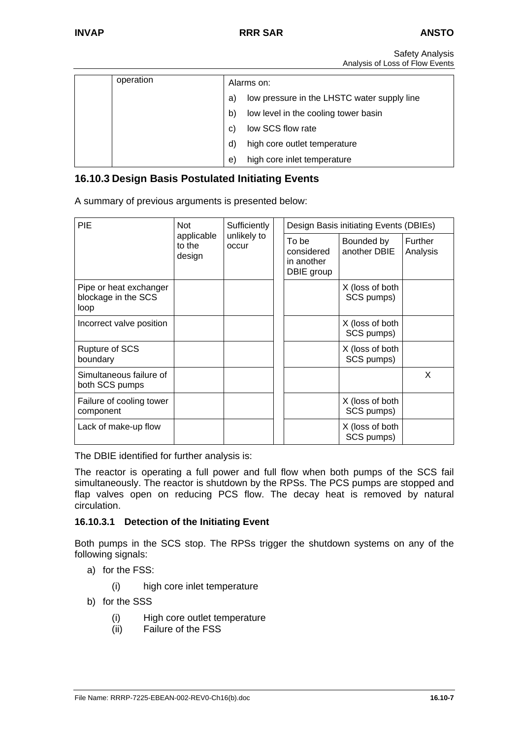| operation | Alarms on: |                                             |  |  |  |
|-----------|------------|---------------------------------------------|--|--|--|
|           | a)         | low pressure in the LHSTC water supply line |  |  |  |
|           | b)         | low level in the cooling tower basin        |  |  |  |
|           | C)         | low SCS flow rate                           |  |  |  |
|           | d)         | high core outlet temperature                |  |  |  |
|           | e          | high core inlet temperature                 |  |  |  |

## **16.10.3 Design Basis Postulated Initiating Events**

A summary of previous arguments is presented below:

| PIE                                                   | <b>Not</b><br>applicable<br>to the<br>design | Sufficiently         | Design Basis initiating Events (DBIEs)          |                               |                     |
|-------------------------------------------------------|----------------------------------------------|----------------------|-------------------------------------------------|-------------------------------|---------------------|
|                                                       |                                              | unlikely to<br>occur | To be<br>considered<br>in another<br>DBIE group | Bounded by<br>another DBIE    | Further<br>Analysis |
| Pipe or heat exchanger<br>blockage in the SCS<br>loop |                                              |                      |                                                 | X (loss of both<br>SCS pumps) |                     |
| Incorrect valve position                              |                                              |                      |                                                 | X (loss of both<br>SCS pumps) |                     |
| <b>Rupture of SCS</b><br>boundary                     |                                              |                      |                                                 | X (loss of both<br>SCS pumps) |                     |
| Simultaneous failure of<br>both SCS pumps             |                                              |                      |                                                 |                               | X                   |
| Failure of cooling tower<br>component                 |                                              |                      |                                                 | X (loss of both<br>SCS pumps) |                     |
| Lack of make-up flow                                  |                                              |                      |                                                 | X (loss of both<br>SCS pumps) |                     |

The DBIE identified for further analysis is:

The reactor is operating a full power and full flow when both pumps of the SCS fail simultaneously. The reactor is shutdown by the RPSs. The PCS pumps are stopped and flap valves open on reducing PCS flow. The decay heat is removed by natural circulation.

#### **16.10.3.1 Detection of the Initiating Event**

Both pumps in the SCS stop. The RPSs trigger the shutdown systems on any of the following signals:

- a) for the FSS:
	- (i) high core inlet temperature
- b) for the SSS
	- (i) High core outlet temperature<br>(ii) Failure of the FSS
	- Failure of the FSS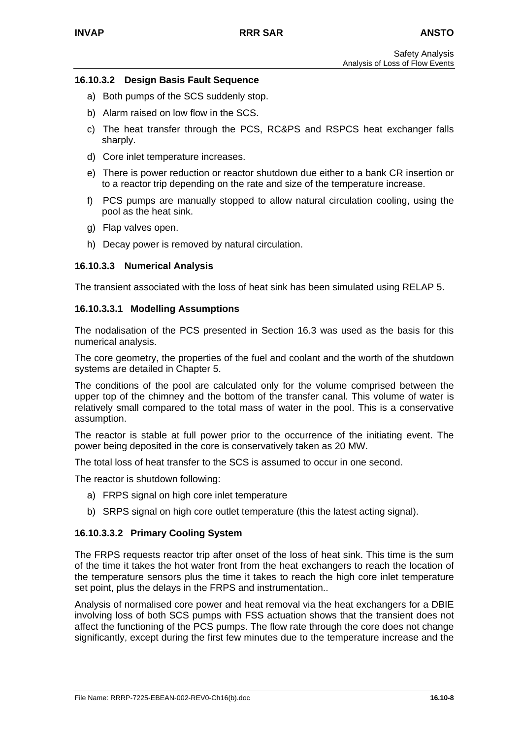### **16.10.3.2 Design Basis Fault Sequence**

- a) Both pumps of the SCS suddenly stop.
- b) Alarm raised on low flow in the SCS.
- c) The heat transfer through the PCS, RC&PS and RSPCS heat exchanger falls sharply.
- d) Core inlet temperature increases.
- e) There is power reduction or reactor shutdown due either to a bank CR insertion or to a reactor trip depending on the rate and size of the temperature increase.
- f) PCS pumps are manually stopped to allow natural circulation cooling, using the pool as the heat sink.
- g) Flap valves open.
- h) Decay power is removed by natural circulation.

### **16.10.3.3 Numerical Analysis**

The transient associated with the loss of heat sink has been simulated using RELAP 5.

#### **16.10.3.3.1 Modelling Assumptions**

The nodalisation of the PCS presented in Section 16.3 was used as the basis for this numerical analysis.

The core geometry, the properties of the fuel and coolant and the worth of the shutdown systems are detailed in Chapter 5.

The conditions of the pool are calculated only for the volume comprised between the upper top of the chimney and the bottom of the transfer canal. This volume of water is relatively small compared to the total mass of water in the pool. This is a conservative assumption.

The reactor is stable at full power prior to the occurrence of the initiating event. The power being deposited in the core is conservatively taken as 20 MW.

The total loss of heat transfer to the SCS is assumed to occur in one second.

The reactor is shutdown following:

- a) FRPS signal on high core inlet temperature
- b) SRPS signal on high core outlet temperature (this the latest acting signal).

#### **16.10.3.3.2 Primary Cooling System**

The FRPS requests reactor trip after onset of the loss of heat sink. This time is the sum of the time it takes the hot water front from the heat exchangers to reach the location of the temperature sensors plus the time it takes to reach the high core inlet temperature set point, plus the delays in the FRPS and instrumentation..

Analysis of normalised core power and heat removal via the heat exchangers for a DBIE involving loss of both SCS pumps with FSS actuation shows that the transient does not affect the functioning of the PCS pumps. The flow rate through the core does not change significantly, except during the first few minutes due to the temperature increase and the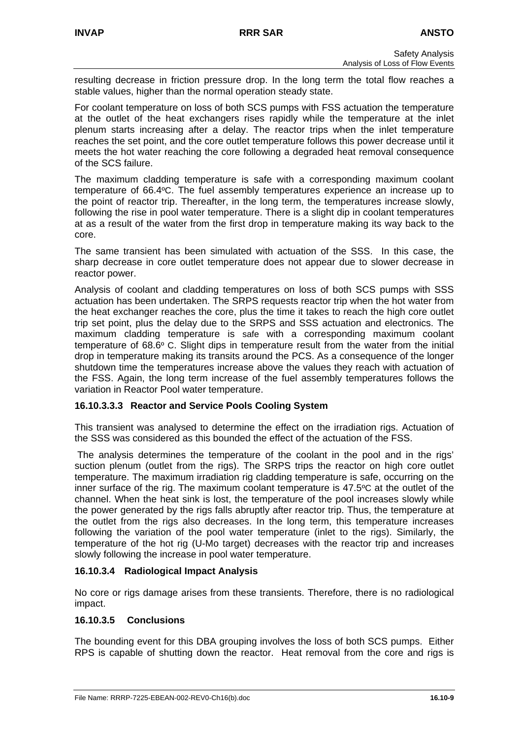resulting decrease in friction pressure drop. In the long term the total flow reaches a stable values, higher than the normal operation steady state.

For coolant temperature on loss of both SCS pumps with FSS actuation the temperature at the outlet of the heat exchangers rises rapidly while the temperature at the inlet plenum starts increasing after a delay. The reactor trips when the inlet temperature reaches the set point, and the core outlet temperature follows this power decrease until it meets the hot water reaching the core following a degraded heat removal consequence of the SCS failure.

The maximum cladding temperature is safe with a corresponding maximum coolant temperature of 66.4ºC. The fuel assembly temperatures experience an increase up to the point of reactor trip. Thereafter, in the long term, the temperatures increase slowly, following the rise in pool water temperature. There is a slight dip in coolant temperatures at as a result of the water from the first drop in temperature making its way back to the core.

The same transient has been simulated with actuation of the SSS. In this case, the sharp decrease in core outlet temperature does not appear due to slower decrease in reactor power.

Analysis of coolant and cladding temperatures on loss of both SCS pumps with SSS actuation has been undertaken. The SRPS requests reactor trip when the hot water from the heat exchanger reaches the core, plus the time it takes to reach the high core outlet trip set point, plus the delay due to the SRPS and SSS actuation and electronics. The maximum cladding temperature is safe with a corresponding maximum coolant temperature of 68.6º C. Slight dips in temperature result from the water from the initial drop in temperature making its transits around the PCS. As a consequence of the longer shutdown time the temperatures increase above the values they reach with actuation of the FSS. Again, the long term increase of the fuel assembly temperatures follows the variation in Reactor Pool water temperature.

## **16.10.3.3.3 Reactor and Service Pools Cooling System**

This transient was analysed to determine the effect on the irradiation rigs. Actuation of the SSS was considered as this bounded the effect of the actuation of the FSS.

The analysis determines the temperature of the coolant in the pool and in the rigs' suction plenum (outlet from the rigs). The SRPS trips the reactor on high core outlet temperature. The maximum irradiation rig cladding temperature is safe, occurring on the inner surface of the rig. The maximum coolant temperature is 47.5ºC at the outlet of the channel. When the heat sink is lost, the temperature of the pool increases slowly while the power generated by the rigs falls abruptly after reactor trip. Thus, the temperature at the outlet from the rigs also decreases. In the long term, this temperature increases following the variation of the pool water temperature (inlet to the rigs). Similarly, the temperature of the hot rig (U-Mo target) decreases with the reactor trip and increases slowly following the increase in pool water temperature.

## **16.10.3.4 Radiological Impact Analysis**

No core or rigs damage arises from these transients. Therefore, there is no radiological impact.

## **16.10.3.5 Conclusions**

The bounding event for this DBA grouping involves the loss of both SCS pumps. Either RPS is capable of shutting down the reactor. Heat removal from the core and rigs is